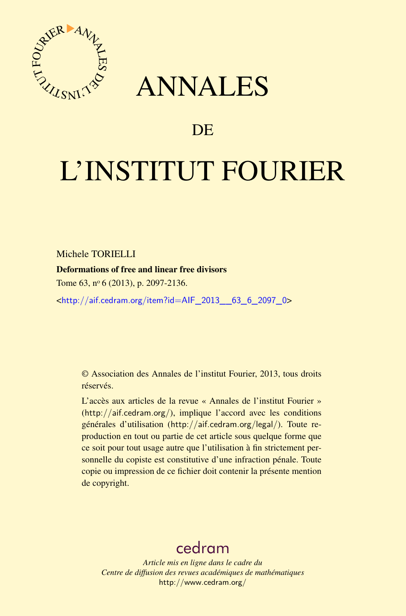

## ANNALES

### **DE**

# L'INSTITUT FOURIER

Michele TORIELLI

Deformations of free and linear free divisors

Tome 63, nº 6 (2013), p. 2097-2136.

<[http://aif.cedram.org/item?id=AIF\\_2013\\_\\_63\\_6\\_2097\\_0](http://aif.cedram.org/item?id=AIF_2013__63_6_2097_0)>

© Association des Annales de l'institut Fourier, 2013, tous droits réservés.

L'accès aux articles de la revue « Annales de l'institut Fourier » (<http://aif.cedram.org/>), implique l'accord avec les conditions générales d'utilisation (<http://aif.cedram.org/legal/>). Toute reproduction en tout ou partie de cet article sous quelque forme que ce soit pour tout usage autre que l'utilisation à fin strictement personnelle du copiste est constitutive d'une infraction pénale. Toute copie ou impression de ce fichier doit contenir la présente mention de copyright.

## [cedram](http://www.cedram.org/)

*Article mis en ligne dans le cadre du Centre de diffusion des revues académiques de mathématiques* <http://www.cedram.org/>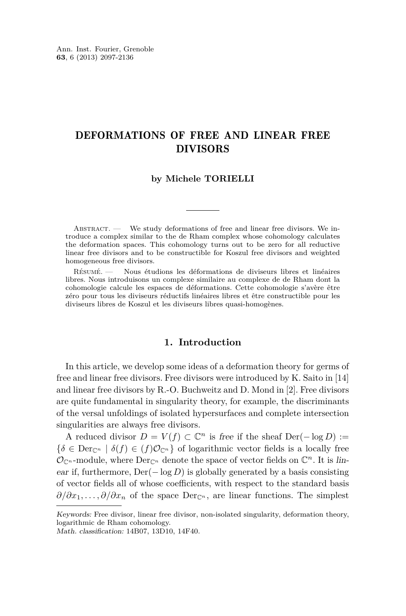#### DEFORMATIONS OF FREE AND LINEAR FREE DIVISORS

#### **by Michele TORIELLI**

ABSTRACT. — We study deformations of free and linear free divisors. We introduce a complex similar to the de Rham complex whose cohomology calculates the deformation spaces. This cohomology turns out to be zero for all reductive linear free divisors and to be constructible for Koszul free divisors and weighted homogeneous free divisors.

Résumé. — Nous étudions les déformations de diviseurs libres et linéaires libres. Nous introduisons un complexe similaire au complexe de de Rham dont la cohomologie calcule les espaces de déformations. Cette cohomologie s'avère être zéro pour tous les diviseurs réductifs linéaires libres et être constructible pour les diviseurs libres de Koszul et les diviseurs libres quasi-homogènes.

#### **1. Introduction**

In this article, we develop some ideas of a deformation theory for germs of free and linear free divisors. Free divisors were introduced by K. Saito in [\[14\]](#page-40-0) and linear free divisors by R.-O. Buchweitz and D. Mond in [\[2\]](#page-39-0). Free divisors are quite fundamental in singularity theory, for example, the discriminants of the versal unfoldings of isolated hypersurfaces and complete intersection singularities are always free divisors.

A reduced divisor  $D = V(f)$  ⊂  $\mathbb{C}^n$  is free if the sheaf Der(− log *D*) :=  ${\delta \in \mathrm{Der}_{\mathbb{C}^n} \mid \delta(f) \in (f)\mathcal{O}_{\mathbb{C}^n}}$  of logarithmic vector fields is a locally free  $\mathcal{O}_{\mathbb{C}^n}$ -module, where  $\text{Der}_{\mathbb{C}^n}$  denote the space of vector fields on  $\mathbb{C}^n$ . It is linear if, furthermore,  $Der(-\log D)$  is globally generated by a basis consisting of vector fields all of whose coefficients, with respect to the standard basis  $\partial/\partial x_1,\ldots,\partial/\partial x_n$  of the space Der<sub>C<sup>*n*</sup></sub>, are linear functions. The simplest

Keywords: Free divisor, linear free divisor, non-isolated singularity, deformation theory, logarithmic de Rham cohomology.

Math. classification: 14B07, 13D10, 14F40.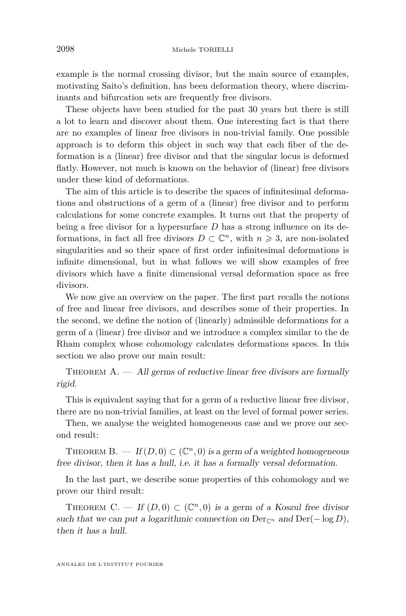example is the normal crossing divisor, but the main source of examples, motivating Saito's definition, has been deformation theory, where discriminants and bifurcation sets are frequently free divisors.

These objects have been studied for the past 30 years but there is still a lot to learn and discover about them. One interesting fact is that there are no examples of linear free divisors in non-trivial family. One possible approach is to deform this object in such way that each fiber of the deformation is a (linear) free divisor and that the singular locus is deformed flatly. However, not much is known on the behavior of (linear) free divisors under these kind of deformations.

The aim of this article is to describe the spaces of infinitesimal deformations and obstructions of a germ of a (linear) free divisor and to perform calculations for some concrete examples. It turns out that the property of being a free divisor for a hypersurface *D* has a strong influence on its deformations, in fact all free divisors  $D \subset \mathbb{C}^n$ , with  $n \geq 3$ , are non-isolated singularities and so their space of first order infinitesimal deformations is infinite dimensional, but in what follows we will show examples of free divisors which have a finite dimensional versal deformation space as free divisors.

We now give an overview on the paper. The first part recalls the notions of free and linear free divisors, and describes some of their properties. In the second, we define the notion of (linearly) admissible deformations for a germ of a (linear) free divisor and we introduce a complex similar to the de Rham complex whose cohomology calculates deformations spaces. In this section we also prove our main result:

THEOREM  $A.$  — All germs of reductive linear free divisors are formally rigid.

This is equivalent saying that for a germ of a reductive linear free divisor, there are no non-trivial families, at least on the level of formal power series.

Then, we analyse the weighted homogeneous case and we prove our second result:

THEOREM  $B. - If(D, 0) \subset (\mathbb{C}^n, 0)$  is a germ of a weighted homogeneous free divisor, then it has a hull, i.e. it has a formally versal deformation.

In the last part, we describe some properties of this cohomology and we prove our third result:

THEOREM C. — If  $(D,0) \subset (\mathbb{C}^n,0)$  is a germ of a Koszul free divisor such that we can put a logarithmic connection on  $Der_{\mathbb{C}^n}$  and  $Der(-\log D)$ , then it has a hull.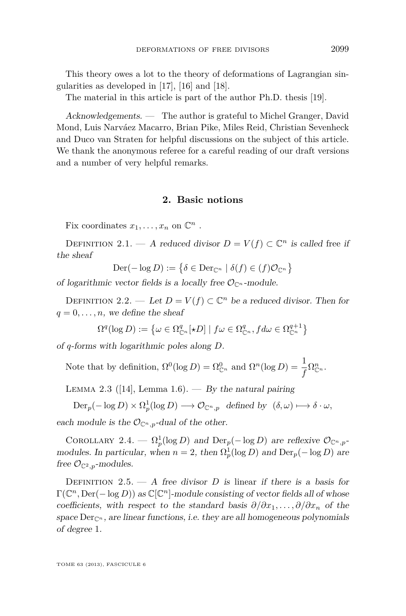<span id="page-3-0"></span>This theory owes a lot to the theory of deformations of Lagrangian singularities as developed in [\[17\]](#page-40-0), [\[16\]](#page-40-0) and [\[18\]](#page-40-0).

The material in this article is part of the author Ph.D. thesis [\[19\]](#page-40-0).

Acknowledgements. — The author is grateful to Michel Granger, David Mond, Luis Narváez Macarro, Brian Pike, Miles Reid, Christian Sevenheck and Duco van Straten for helpful discussions on the subject of this article. We thank the anonymous referee for a careful reading of our draft versions and a number of very helpful remarks.

#### **2. Basic notions**

Fix coordinates  $x_1, \ldots, x_n$  on  $\mathbb{C}^n$ .

DEFINITION 2.1. — A reduced divisor  $D = V(f) \subset \mathbb{C}^n$  is called free if the sheaf

$$
\text{Der}(-\log D) := \{ \delta \in \text{Der}_{\mathbb{C}^n} \mid \delta(f) \in (f)\mathcal{O}_{\mathbb{C}^n} \}
$$

of logarithmic vector fields is a locally free  $\mathcal{O}_{\mathbb{C}^n}$ -module.

DEFINITION 2.2. — Let  $D = V(f) \subset \mathbb{C}^n$  be a reduced divisor. Then for  $q = 0, \ldots, n$ , we define the sheaf

$$
\Omega^{q}(\log D) := \left\{ \omega \in \Omega_{\mathbb{C}^n}^q[\star D] \mid f\omega \in \Omega_{\mathbb{C}^n}^q, f d\omega \in \Omega_{\mathbb{C}^n}^{q+1} \right\}
$$

of *q*-forms with logarithmic poles along *D*.

Note that by definition,  $\Omega^0(\log D) = \Omega_{\mathbb{C}^n}^0$  and  $\Omega^n(\log D) = \frac{1}{f}\Omega_{\mathbb{C}^n}^n$ .

LEMMA 2.3 ([\[14\]](#page-40-0), Lemma 1.6). — By the natural pairing

 $Der_p(-\log D) \times \Omega_p^1(\log D) \longrightarrow \mathcal{O}_{\mathbb{C}^n,p}$  defined by  $(\delta,\omega) \longmapsto \delta \cdot \omega$ ,

each module is the  $\mathcal{O}_{\mathbb{C}^n,p}$ -dual of the other.

COROLLARY 2.4. —  $\Omega_p^1(\log D)$  and  $\text{Der}_p(-\log D)$  are reflexive  $\mathcal{O}_{\mathbb{C}^n,p}$ modules. In particular, when  $n = 2$ , then  $\Omega_p^1(\log D)$  and  $\text{Der}_p(-\log D)$  are free  $\mathcal{O}_{\mathbb{C}^2,p}$ -modules.

DEFINITION 2.5.  $- A$  free divisor *D* is linear if there is a basis for  $\Gamma(\mathbb{C}^n, \text{Der}(-\log D))$  as  $\mathbb{C}[\mathbb{C}^n]$ -module consisting of vector fields all of whose coefficients, with respect to the standard basis  $\partial/\partial x_1, \ldots, \partial/\partial x_n$  of the space  $Der_{\mathbb{C}^n}$ , are linear functions, i.e. they are all homogeneous polynomials of degree 1.

TOME 63 (2013), FASCICULE 6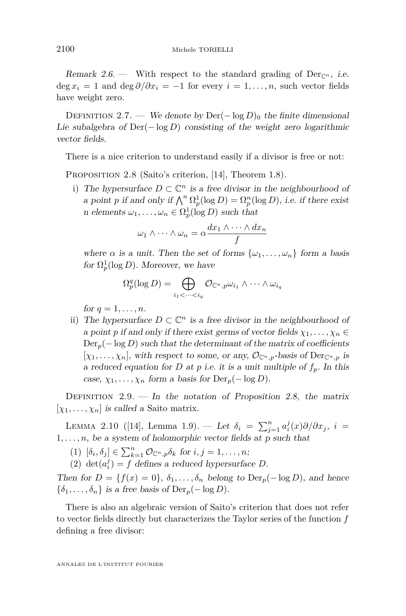<span id="page-4-0"></span>Remark 2.6. — With respect to the standard grading of  $Der_{\mathbb{C}^n}$ , *i.e.*  $\deg x_i = 1$  and  $\deg \partial/\partial x_i = -1$  for every  $i = 1, \ldots, n$ , such vector fields have weight zero.

DEFINITION 2.7. — We denote by Der $(-\log D)_0$  the finite dimensional Lie subalgebra of Der(− log *D*) consisting of the weight zero logarithmic vector fields.

There is a nice criterion to understand easily if a divisor is free or not:

PROPOSITION 2.8 (Saito's criterion, [\[14\]](#page-40-0), Theorem 1.8).

i) The hypersurface  $D \subset \mathbb{C}^n$  is a free divisor in the neighbourhood of a point *p* if and only if  $\bigwedge^n \Omega_p^1(\log D) = \Omega_p^n(\log D)$ , i.e. if there exist n elements  $\omega_1, \ldots, \omega_n \in \Omega_p^1(\log D)$  such that

$$
\omega_1 \wedge \cdots \wedge \omega_n = \alpha \frac{dx_1 \wedge \cdots \wedge dx_n}{f}
$$

where  $\alpha$  is a unit. Then the set of forms  $\{\omega_1, \ldots, \omega_n\}$  form a basis for  $\Omega_p^1(\log D)$ . Moreover, we have

$$
\Omega_p^q(\log D) = \bigoplus_{i_1 < \dots < i_q} \mathcal{O}_{\mathbb{C}^n, p} \omega_{i_1} \wedge \dots \wedge \omega_{i_q}
$$

for  $q = 1, \ldots, n$ .

ii) The hypersurface  $D \subset \mathbb{C}^n$  is a free divisor in the neighbourhood of a point *p* if and only if there exist germs of vector fields  $\chi_1, \ldots, \chi_n \in$  $Der_p(-\log D)$  such that the determinant of the matrix of coefficients  $[\chi_1, \ldots, \chi_n]$ , with respect to some, or any,  $\mathcal{O}_{\mathbb{C}^n,p}$ -basis of  $\text{Der}_{\mathbb{C}^n,p}$  is a reduced equation for *D* at *p* i.e. it is a unit multiple of  $f_p$ . In this case,  $\chi_1, \ldots, \chi_n$  form a basis for  $\text{Der}_p(-\log D)$ .

DEFINITION  $2.9.$  — In the notation of Proposition 2.8, the matrix  $[\chi_1, \ldots, \chi_n]$  is called a Saito matrix.

LEMMA 2.10 ([\[14\]](#page-40-0), Lemma 1.9). — Let  $\delta_i = \sum_{j=1}^n a_i^j(x)\partial/\partial x_j$ ,  $i =$  $1, \ldots, n$ , be a system of holomorphic vector fields at p such that

 $(1) \; [\delta_i, \delta_j] \in \sum_{k=1}^n \mathcal{O}_{\mathbb{C}^n, p} \delta_k \; \text{for} \; i, j = 1, \ldots, n;$ 

(2) det $(a_i^j) = f$  defines a reduced hypersurface *D*.

Then for  $D = \{f(x) = 0\}, \delta_1, \ldots, \delta_n$  belong to  $\text{Der}_p(-\log D)$ , and hence  $\{\delta_1, \ldots, \delta_n\}$  is a free basis of Der<sub>p</sub>(− log *D*).

There is also an algebraic version of Saito's criterion that does not refer to vector fields directly but characterizes the Taylor series of the function *f* defining a free divisor: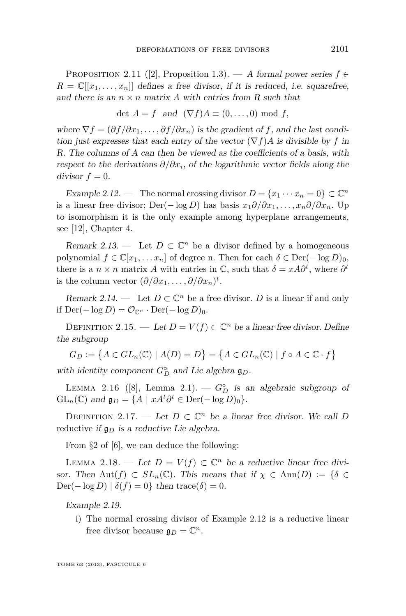<span id="page-5-0"></span>PROPOSITION 2.11 ([\[2\]](#page-39-0), Proposition 1.3). — A formal power series  $f \in$  $R = \mathbb{C}[[x_1, \ldots, x_n]]$  defines a free divisor, if it is reduced, i.e. squarefree, and there is an  $n \times n$  matrix A with entries from R such that

$$
\det A = f \text{ and } (\nabla f)A \equiv (0, \dots, 0) \text{ mod } f,
$$

where  $\nabla f = (\partial f / \partial x_1, \dots, \partial f / \partial x_n)$  is the gradient of f, and the last condition just expresses that each entry of the vector  $(\nabla f)A$  is divisible by f in R. The columns of A can then be viewed as the coefficients of a basis, with respect to the derivations *∂/∂x<sup>i</sup>* , of the logarithmic vector fields along the  $divisor f = 0.$ 

Example 2.12. — The normal crossing divisor  $D = \{x_1 \cdots x_n = 0\} \subset \mathbb{C}^n$ is a linear free divisor; Der( $-\log D$ ) has basis  $x_1 \partial/\partial x_1, \ldots, x_n \partial/\partial x_n$ . Up to isomorphism it is the only example among hyperplane arrangements, see [\[12\]](#page-40-0), Chapter 4.

Remark 2.13. — Let  $D \subset \mathbb{C}^n$  be a divisor defined by a homogeneous polynomial  $f \in \mathbb{C}[x_1, \ldots, x_n]$  of degree n. Then for each  $\delta \in \text{Der}(-\log D)_0$ , there is a  $n \times n$  matrix *A* with entries in  $\mathbb{C}$ , such that  $\delta = xA\partial^t$ , where  $\partial^t$ is the column vector  $(\partial/\partial x_1, \ldots, \partial/\partial x_n)^t$ .

Remark 2.14. — Let  $D \subset \mathbb{C}^n$  be a free divisor. *D* is a linear if and only if Der( $-\log D$ ) =  $\mathcal{O}_{\mathbb{C}^n}$  · Der( $-\log D$ )<sub>0</sub>.

DEFINITION 2.15. — Let  $D = V(f) \subset \mathbb{C}^n$  be a linear free divisor. Define the subgroup

$$
G_D := \{ A \in GL_n(\mathbb{C}) \mid A(D) = D \} = \{ A \in GL_n(\mathbb{C}) \mid f \circ A \in \mathbb{C} \cdot f \}
$$

with identity component  $G_D^{\circ}$  and Lie algebra  $\mathfrak{g}_D$ .

LEMMA 2.16 ([\[8\]](#page-40-0), Lemma 2.1). —  $G_D^{\circ}$  is an algebraic subgroup of  $GL_n(\mathbb{C})$  and  $\mathfrak{g}_D = \{ A \mid xA^t \partial^t \in \text{Der}(-\log D)_0 \}.$ 

DEFINITION 2.17. — Let  $D \subset \mathbb{C}^n$  be a linear free divisor. We call *D* reductive if g*<sup>D</sup>* is a reductive Lie algebra.

From §2 of [\[6\]](#page-40-0), we can deduce the following:

LEMMA 2.18. — Let  $D = V(f) \subset \mathbb{C}^n$  be a reductive linear free divisor. Then Aut $(f) \subset SL_n(\mathbb{C})$ . This means that if  $\chi \in Ann(D) := \{\delta \in$  $\text{Der}(-\log D) | \delta(f) = 0$ } then trace( $\delta$ ) = 0.

Example 2.19.

i) The normal crossing divisor of Example 2.12 is a reductive linear free divisor because  $\mathfrak{g}_D = \mathbb{C}^n$ .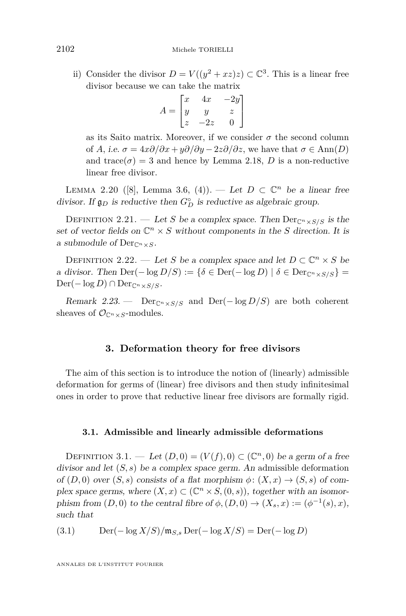<span id="page-6-0"></span>ii) Consider the divisor  $D = V((y^2 + xz)z) \subset \mathbb{C}^3$ . This is a linear free divisor because we can take the matrix

$$
A = \begin{bmatrix} x & 4x & -2y \\ y & y & z \\ z & -2z & 0 \end{bmatrix}
$$

as its Saito matrix. Moreover, if we consider  $\sigma$  the second column of *A*, i.e.  $\sigma = 4x\partial/\partial x + y\partial/\partial y - 2z\partial/\partial z$ , we have that  $\sigma \in \text{Ann}(D)$ and trace( $\sigma$ ) = 3 and hence by Lemma [2.18,](#page-5-0) *D* is a non-reductive linear free divisor.

LEMMA 2.20 ([\[8\]](#page-40-0), Lemma 3.6, (4)). — Let  $D \subset \mathbb{C}^n$  be a linear free divisor. If  $\mathfrak{g}_D$  is reductive then  $G_D^{\circ}$  is reductive as algebraic group.

DEFINITION 2.21. — Let *S* be a complex space. Then  $\text{Der}_{\mathbb{C}^n \times S/S}$  is the set of vector fields on  $\mathbb{C}^n \times S$  without components in the *S* direction. It is a submodule of  $Der_{\mathbb{C}^n\times S}$ .

DEFINITION 2.22. — Let *S* be a complex space and let  $D \subset \mathbb{C}^n \times S$  be a divisor. Then  $\text{Der}(-\log D/S) := {\delta \in \text{Der}(-\log D) \mid \delta \in \text{Der}_{\mathbb{C}^n \times S/S}}$  $Der(-\log D) \cap Der_{\mathbb{C}^n \times S/S}.$ 

Remark 2.23. — Der<sub>Cn×S/S</sub> and Der(- $\log D/S$ ) are both coherent sheaves of  $\mathcal{O}_{\mathbb{C}^n \times S}$ -modules.

#### **3. Deformation theory for free divisors**

The aim of this section is to introduce the notion of (linearly) admissible deformation for germs of (linear) free divisors and then study infinitesimal ones in order to prove that reductive linear free divisors are formally rigid.

#### **3.1. Admissible and linearly admissible deformations**

DEFINITION 3.1. — Let  $(D, 0) = (V(f), 0) \subset (\mathbb{C}^n, 0)$  be a germ of a free divisor and let (*S, s*) be a complex space germ. An admissible deformation of  $(D,0)$  over  $(S, s)$  consists of a flat morphism  $\phi: (X, x) \to (S, s)$  of complex space germs, where  $(X, x) \subset (\mathbb{C}^n \times S, (0, s))$ , together with an isomorphism from  $(D, 0)$  to the central fibre of  $\phi$ ,  $(D, 0) \rightarrow (X_s, x) := (\phi^{-1}(s), x)$ , such that

$$
(3.1) \qquad \text{Der}(-\log X/S)/\mathfrak{m}_{S,s}\operatorname{Der}(-\log X/S) = \operatorname{Der}(-\log D)
$$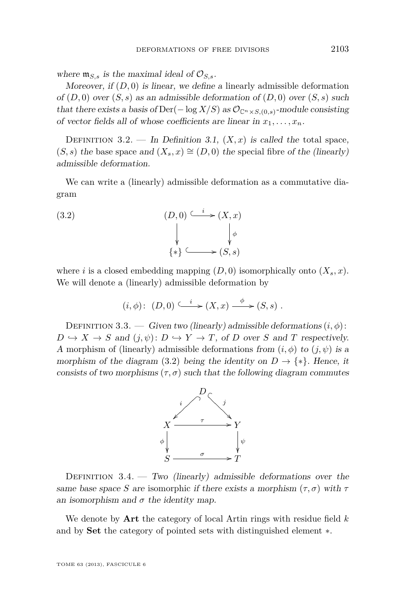where  $\mathfrak{m}_{S,s}$  is the maximal ideal of  $\mathcal{O}_{S,s}$ .

Moreover, if  $(D, 0)$  is linear, we define a linearly admissible deformation of  $(D,0)$  over  $(S, s)$  as an admissible deformation of  $(D,0)$  over  $(S, s)$  such that there exists a basis of Der( $-\log X/S$ ) as  $\mathcal{O}_{\mathbb{C}^n \times S,(0,s)}$ -module consisting of vector fields all of whose coefficients are linear in  $x_1, \ldots, x_n$ .

DEFINITION 3.2. — In Definition [3.1,](#page-6-0)  $(X, x)$  is called the total space,  $(S, s)$  the base space and  $(X_s, x) \cong (D, 0)$  the special fibre of the (linearly) admissible deformation.

We can write a (linearly) admissible deformation as a commutative diagram

(3.2) 
$$
(D,0) \xrightarrow{\iota} (X,x)
$$

$$
\downarrow \qquad \qquad \downarrow \phi
$$

$$
\{*\} \xrightarrow{\iota} (S,s)
$$

where *i* is a closed embedding mapping  $(D, 0)$  isomorphically onto  $(X_s, x)$ . We will denote a (linearly) admissible deformation by

$$
(i, \phi): (D, 0) \xrightarrow{\iota} (X, x) \xrightarrow{\phi} (S, s) .
$$

DEFINITION 3.3. — Given two (linearly) admissible deformations  $(i, \phi)$ :  $D \hookrightarrow X \to S$  and  $(j, \psi): D \hookrightarrow Y \to T$ , of *D* over *S* and *T* respectively. A morphism of (linearly) admissible deformations from  $(i, \phi)$  to  $(j, \psi)$  is a morphism of the diagram (3.2) being the identity on  $D \to \{*\}$ . Hence, it consists of two morphisms  $(\tau, \sigma)$  such that the following diagram commutes



DEFINITION  $3.4.$  — Two (linearly) admissible deformations over the same base space *S* are isomorphic if there exists a morphism  $(\tau, \sigma)$  with  $\tau$ an isomorphism and  $\sigma$  the identity map.

We denote by **Art** the category of local Artin rings with residue field *k* and by **Set** the category of pointed sets with distinguished element ∗.

TOME 63 (2013), FASCICULE 6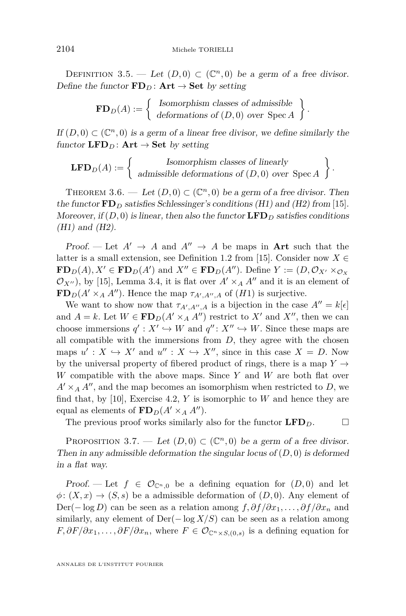<span id="page-8-0"></span>DEFINITION 3.5. — Let  $(D,0) \subset (\mathbb{C}^n,0)$  be a germ of a free divisor. Define the functor  $\mathbf{FD}_D$ :  $\mathbf{Art} \rightarrow \mathbf{Set}$  by setting

> $\mathbf{FD}_D(A) := \begin{cases} \text{Isomorphism classes of admissible} \\ \text{determining of } (D,0) \text{ over } \mathbf{S} \text{ and } \end{cases}$ deformations of (*D,* 0) over Spec *A .*

If  $(D,0) \subset (\mathbb{C}^n,0)$  is a germ of a linear free divisor, we define similarly the functor  $\mathbf{LFD}_D$ :  $\mathbf{Art} \rightarrow \mathbf{Set}$  by setting

**LFD**<sub>D</sub>(A) := 
$$
\left\{ \begin{array}{c} \text{Isomorphism classes of linearly} \\ \text{admissible deformations of } (D,0) \text{ over } \text{Spec } A \end{array} \right\}.
$$

THEOREM 3.6. — Let  $(D, 0) \subset (\mathbb{C}^n, 0)$  be a germ of a free divisor. Then the functor  $\mathbf{FD}_D$  satisfies Schlessinger's conditions (H1) and (H2) from [\[15\]](#page-40-0). Moreover, if  $(D, 0)$  is linear, then also the functor  $\mathbf{LFD}_D$  satisfies conditions (H1) and (H2).

Proof. — Let  $A' \rightarrow A$  and  $A'' \rightarrow A$  be maps in **Art** such that the latter is a small extension, see Definition 1.2 from [\[15\]](#page-40-0). Consider now  $X \in$  $\mathbf{FD}_D(A), X' \in \mathbf{FD}_D(A')$  and  $X'' \in \mathbf{FD}_D(A'')$ . Define  $Y := (D, \mathcal{O}_{X'} \times_{\mathcal{O}_X} D)$  $\mathcal{O}_{X''}$ , by [\[15\]](#page-40-0), Lemma 3.4, it is flat over  $A' \times_A A''$  and it is an element of **FD**<sub>*D*</sub>( $A' \times_A A''$ ). Hence the map  $\tau_{A',A'',A}$  of (*H*1) is surjective.

We want to show now that  $\tau_{A',A'',A}$  is a bijection in the case  $A'' = k[\epsilon]$ and  $A = k$ . Let  $W \in \mathbf{FD}_D(A' \times_A A'')$  restrict to X' and X'', then we can choose immersions  $q' : X' \hookrightarrow W$  and  $q'' : X'' \hookrightarrow W$ . Since these maps are all compatible with the immersions from  $D$ , they agree with the chosen maps  $u' : X \hookrightarrow X'$  and  $u'' : X \hookrightarrow X''$ , since in this case  $X = D$ . Now by the universal property of fibered product of rings, there is a map  $Y \rightarrow$ *W* compatible with the above maps. Since *Y* and *W* are both flat over  $A' \times_A A''$ , and the map becomes an isomorphism when restricted to *D*, we find that, by [\[10\]](#page-40-0), Exercise 4.2, *Y* is isomorphic to *W* and hence they are equal as elements of  $\mathbf{FD}_D(A' \times_A A'')$ .

The previous proof works similarly also for the functor  $\mathbf{LFD}_D$ .

PROPOSITION 3.7. — Let  $(D,0) \subset (\mathbb{C}^n,0)$  be a germ of a free divisor. Then in any admissible deformation the singular locus of (*D,* 0) is deformed in a flat way.

Proof. — Let  $f \in \mathcal{O}_{\mathbb{C}^n,0}$  be a defining equation for  $(D,0)$  and let  $\phi: (X, x) \to (S, s)$  be a admissible deformation of  $(D, 0)$ . Any element of Der(−log *D*) can be seen as a relation among  $f, \partial f/\partial x_1, \dots, \partial f/\partial x_n$  and similarly, any element of  $\text{Der}(-\log X/S)$  can be seen as a relation among  $F, \partial F/\partial x_1, \ldots, \partial F/\partial x_n$ , where  $F \in \mathcal{O}_{\mathbb{C}^n \times S,(0,s)}$  is a defining equation for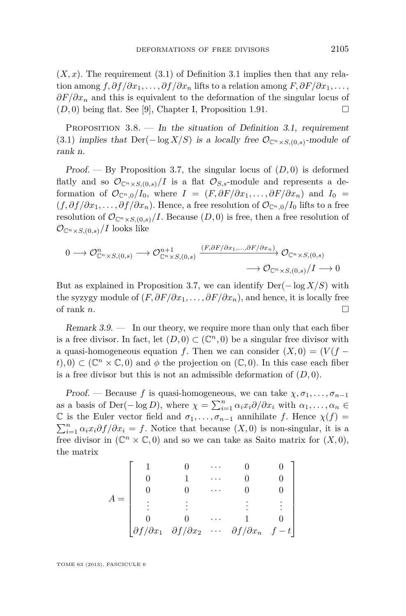<span id="page-9-0"></span> $(X, x)$ . The requirement  $(3.1)$  of Definition [3.1](#page-6-0) implies then that any relation among  $f, \partial f/\partial x_1, \ldots, \partial f/\partial x_n$  lifts to a relation among  $F, \partial F/\partial x_1, \ldots$ , *∂F/∂x<sub>n</sub>* and this is equivalent to the deformation of the singular locus of  $(D, 0)$  being flat. See [\[9\]](#page-40-0), Chapter I, Proposition 1.91.

PROPOSITION  $3.8.$  — In the situation of Definition [3.1,](#page-6-0) requirement [\(3.1\)](#page-6-0) implies that  $Der(-\log X/S)$  is a locally free  $\mathcal{O}_{\mathbb{C}^n \times S,(0,s)}$ -module of rank n.

Proof.  $-$  By Proposition [3.7,](#page-8-0) the singular locus of  $(D, 0)$  is deformed flatly and so  $\mathcal{O}_{\mathbb{C}^n\times S,(0,s)}/I$  is a flat  $\mathcal{O}_{S,s}$ -module and represents a deformation of  $\mathcal{O}_{\mathbb{C}^n,0}/I_0$ , where  $I = (F, \partial F/\partial x_1, \ldots, \partial F/\partial x_n)$  and  $I_0 =$  $(f, \partial f/\partial x_1, \ldots, \partial f/\partial x_n)$ . Hence, a free resolution of  $\mathcal{O}_{\mathbb{C}^n,0}/I_0$  lifts to a free resolution of  $\mathcal{O}_{\mathbb{C}^n \times S,(0,s)}/I$ . Because  $(D,0)$  is free, then a free resolution of  $\mathcal{O}_{\mathbb{C}^n \times S,(0,s)}/I$  looks like

$$
0 \longrightarrow \mathcal{O}^{n}_{\mathbb{C}^n \times S,(0,s)} \longrightarrow \mathcal{O}^{n+1}_{\mathbb{C}^n \times S,(0,s)} \xrightarrow{(F,\partial F/\partial x_1,...,\partial F/\partial x_n)} \mathcal{O}_{\mathbb{C}^n \times S,(0,s)} \longrightarrow \mathcal{O}_{\mathbb{C}^n \times S,(0,s)}/I \longrightarrow 0
$$

But as explained in Proposition [3.7,](#page-8-0) we can identify Der(− log *X/S*) with the syzygy module of  $(F, \partial F/\partial x_1, \ldots, \partial F/\partial x_n)$ , and hence, it is locally free of rank  $n$ .

Remark  $3.9.$  — In our theory, we require more than only that each fiber is a free divisor. In fact, let  $(D, 0) \subset (\mathbb{C}^n, 0)$  be a singular free divisor with a quasi-homogeneous equation *f*. Then we can consider  $(X, 0) = (V(f (t)$ , 0)  $\subset$  ( $\mathbb{C}^n \times \mathbb{C}$ , 0) and  $\phi$  the projection on ( $\mathbb{C}$ , 0). In this case each fiber is a free divisor but this is not an admissible deformation of  $(D, 0)$ .

Proof. — Because f is quasi-homogeneous, we can take  $\chi, \sigma_1, \ldots, \sigma_{n-1}$ as a basis of Der( $-\log D$ ), where  $\chi = \sum_{i=1}^{n} \alpha_i x_i \partial/\partial x_i$  with  $\alpha_1, \ldots, \alpha_n \in$ C is the Euler vector field and  $\sigma_1, \ldots, \sigma_{n-1}$  annihilate *f*. Hence  $\chi(f)$  =  $\sum_{i=1}^{n} \alpha_i x_i \partial f / \partial x_i = f$ . Notice that because  $(X, 0)$  is non-singular, it is a free divisor in  $(\mathbb{C}^n \times \mathbb{C}, 0)$  and so we can take as Saito matrix for  $(X, 0)$ , the matrix

$$
A = \begin{bmatrix} 1 & 0 & \cdots & 0 & 0 \\ 0 & 1 & \cdots & 0 & 0 \\ 0 & 0 & \cdots & 0 & 0 \\ \vdots & \vdots & \ddots & \vdots & \vdots \\ 0 & 0 & \cdots & 1 & 0 \\ \partial f/\partial x_1 & \partial f/\partial x_2 & \cdots & \partial f/\partial x_n & f - t \end{bmatrix}
$$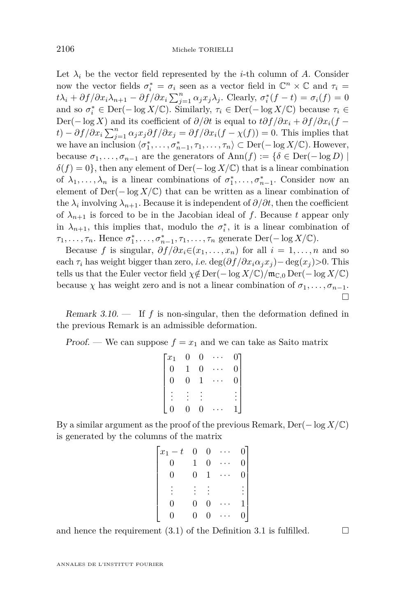Let  $\lambda_i$  be the vector field represented by the *i*-th column of *A*. Consider now the vector fields  $\sigma_i^* = \sigma_i$  seen as a vector field in  $\mathbb{C}^n \times \mathbb{C}$  and  $\tau_i =$  $t\lambda_i + \partial f/\partial x_i\lambda_{n+1} - \partial f/\partial x_i \sum_{j=1}^n \alpha_j x_j\lambda_j$ . Clearly,  $\sigma_i^*(f - t) = \sigma_i(f) = 0$ and so  $\sigma_i^* \in \text{Der}(-\log X/\mathbb{C})$ . Similarly,  $\tau_i \in \text{Der}(-\log X/\mathbb{C})$  because  $\tau_i \in$ Der(−log *X*) and its coefficient of  $\partial/\partial t$  is equal to  $t\partial f/\partial x_i + \partial f/\partial x_i(f$  $f(x) - \partial f / \partial x_i \sum_{j=1}^n \alpha_j x_j \partial f / \partial x_j = \partial f / \partial x_i (f - \chi(f)) = 0$ . This implies that we have an inclusion  $\langle \sigma_1^*, \ldots, \sigma_{n-1}^*, \tau_1, \ldots, \tau_n \rangle \subset \text{Der}(-\log X/\mathbb{C})$ . However, because  $\sigma_1, \ldots, \sigma_{n-1}$  are the generators of Ann(*f*) := { $\delta \in \text{Der}(-\log D)$  |  $\delta(f) = 0$ , then any element of Der(− log *X*/C) that is a linear combination of  $\lambda_1, \ldots, \lambda_n$  is a linear combinations of  $\sigma_1^*, \ldots, \sigma_{n-1}^*$ . Consider now an element of  $Der(-\log X/\mathbb{C})$  that can be written as a linear combination of the  $\lambda_i$  involving  $\lambda_{n+1}$ . Because it is independent of  $\partial/\partial t$ , then the coefficient of  $\lambda_{n+1}$  is forced to be in the Jacobian ideal of f. Because t appear only in  $\lambda_{n+1}$ , this implies that, modulo the  $\sigma_i^*$ , it is a linear combination of  $\tau_1, \ldots, \tau_n$ . Hence  $\sigma_1^*, \ldots, \sigma_{n-1}^*, \tau_1, \ldots, \tau_n$  generate Der(− log *X*/*C*).

Because *f* is singular,  $\partial f / \partial x_i \in (x_1, \ldots, x_n)$  for all  $i = 1, \ldots, n$  and so each  $\tau_i$  has weight bigger than zero, i.e. deg( $\partial f / \partial x_i \alpha_j x_j$ ) – deg( $x_j$ ) > 0. This tells us that the Euler vector field  $\chi \notin \text{Der}(-\log X/\mathbb{C})/\mathfrak{m}_{\mathbb{C},0} \text{Der}(-\log X/\mathbb{C})$ because  $\chi$  has weight zero and is not a linear combination of  $\sigma_1, \ldots, \sigma_{n-1}$ .  $\Box$ 

Remark  $3.10$ .  $\qquad$  If  $f$  is non-singular, then the deformation defined in the previous Remark is an admissible deformation.

Proof. — We can suppose  $f = x_1$  and we can take as Saito matrix

| $\overline{x}_1$ |   | 0 |                  |
|------------------|---|---|------------------|
| $\overline{0}$   |   | 0 | $\overline{0}$   |
| $\rm 0$          | 0 |   | $\boldsymbol{0}$ |
|                  |   |   |                  |
|                  | 0 |   |                  |

By a similar argument as the proof of the previous Remark, Der(− log *X/*C) is generated by the columns of the matrix

| $x_1-t$  | $\boldsymbol{0}$ | 0 |   |
|----------|------------------|---|---|
| 0        |                  | 0 | 0 |
| $\theta$ | 0                | 1 | 0 |
|          |                  |   |   |
| D        | 0                | 0 |   |
|          |                  | 0 |   |

and hence the requirement [\(3.1\)](#page-6-0) of the Definition [3.1](#page-6-0) is fulfilled.  $\Box$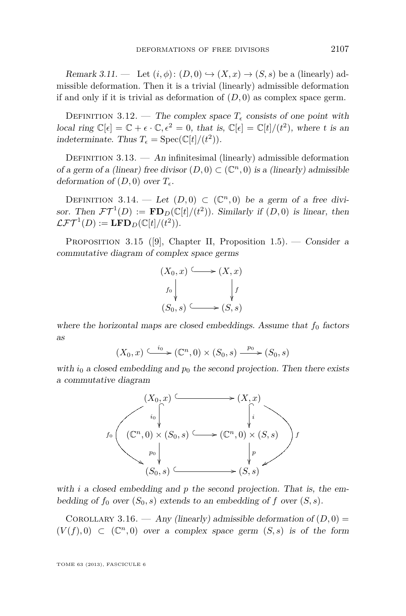<span id="page-11-0"></span>Remark 3.11. — Let  $(i, \phi)$ :  $(D, 0) \hookrightarrow (X, x) \rightarrow (S, s)$  be a (linearly) admissible deformation. Then it is a trivial (linearly) admissible deformation if and only if it is trivial as deformation of (*D,* 0) as complex space germ.

DEFINITION 3.12. — The complex space  $T<sub>\epsilon</sub>$  consists of one point with local ring  $\mathbb{C}[\epsilon] = \mathbb{C} + \epsilon \cdot \mathbb{C}, \epsilon^2 = 0$ , that is,  $\mathbb{C}[\epsilon] = \mathbb{C}[t]/(t^2)$ , where t is an indeterminate. Thus  $T_{\epsilon} = \text{Spec}(\mathbb{C}[t]/(t^2)).$ 

DEFINITION  $3.13.$  — An infinitesimal (linearly) admissible deformation of a germ of a (linear) free divisor  $(D,0) \subset (\mathbb{C}^n,0)$  is a (linearly) admissible deformation of  $(D, 0)$  over  $T_{\epsilon}$ .

DEFINITION 3.14. — Let  $(D,0) \subset (\mathbb{C}^n,0)$  be a germ of a free divisor. Then  $\mathcal{FT}^1(D) := \mathbf{FD}_D(\mathbb{C}[t]/(t^2))$ . Similarly if  $(D,0)$  is linear, then  $\mathcal{LFT}^1(D) := \mathbf{LFD}_D(\mathbb{C}[t]/(t^2)).$ 

PROPOSITION 3.15 ([\[9\]](#page-40-0), Chapter II, Proposition 1.5). — Consider a commutative diagram of complex space germs

$$
(X_0, x) \longleftrightarrow (X, x)
$$
  
\n $f_0 \downarrow \qquad \qquad \downarrow f$   
\n $(S_0, s) \longleftrightarrow (S, s)$ 

where the horizontal maps are closed embeddings. Assume that  $f_0$  factors as

$$
(X_0, x) \xrightarrow{t_0} (\mathbb{C}^n, 0) \times (S_0, s) \xrightarrow{p_0} (S_0, s)
$$

with  $i_0$  a closed embedding and  $p_0$  the second projection. Then there exists a commutative diagram



with *i* a closed embedding and *p* the second projection. That is, the embedding of  $f_0$  over  $(S_0, s)$  extends to an embedding of  $f$  over  $(S, s)$ .

COROLLARY 3.16. — Any (linearly) admissible deformation of  $(D, 0)$  =  $(V(f),0) \subset (\mathbb{C}^n,0)$  over a complex space germ  $(S,s)$  is of the form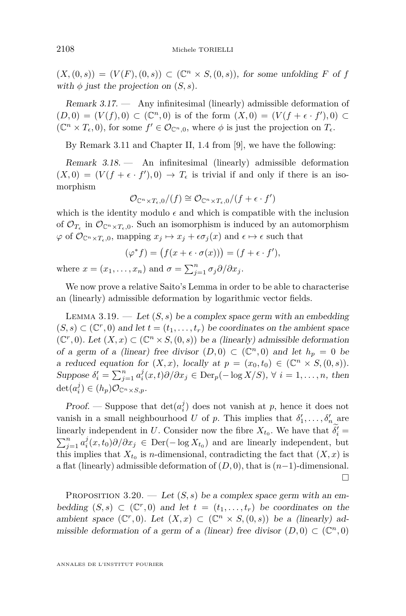<span id="page-12-0"></span> $(X,(0,s)) = (V(F),(0,s)) \subset (\mathbb{C}^n \times S,(0,s))$ , for some unfolding *F* of *f* with  $\phi$  just the projection on  $(S, s)$ .

Remark 3.17. — Any infinitesimal (linearly) admissible deformation of  $(D,0) = (V(f),0)$  ⊂ ( $\mathbb{C}^n,0$ ) is of the form  $(X,0) = (V(f + \epsilon \cdot f'),0)$  ⊂  $(\mathbb{C}^n \times T_{\epsilon}, 0)$ , for some  $f' \in \mathcal{O}_{\mathbb{C}^n,0}$ , where  $\phi$  is just the projection on  $T_{\epsilon}$ .

By Remark [3.11](#page-11-0) and Chapter II, 1.4 from [\[9\]](#page-40-0), we have the following:

Remark 3.18. — An infinitesimal (linearly) admissible deformation  $(X,0) = (V(f + \epsilon \cdot f'),0) \rightarrow T_{\epsilon}$  is trivial if and only if there is an isomorphism

$$
\mathcal{O}_{\mathbb{C}^n \times T_{\epsilon},0}/(f) \cong \mathcal{O}_{\mathbb{C}^n \times T_{\epsilon},0}/(f+\epsilon \cdot f')
$$

which is the identity modulo  $\epsilon$  and which is compatible with the inclusion of  $\mathcal{O}_{T_{\epsilon}}$  in  $\mathcal{O}_{\mathbb{C}^n \times T_{\epsilon},0}$ . Such an isomorphism is induced by an automorphism  $\varphi$  of  $\mathcal{O}_{\mathbb{C}^n \times T_{\epsilon},0}$ , mapping  $x_j \mapsto x_j + \epsilon \sigma_j(x)$  and  $\epsilon \mapsto \epsilon$  such that

$$
(\varphi^* f) = (f(x + \epsilon \cdot \sigma(x))) = (f + \epsilon \cdot f'),
$$

where  $x = (x_1, \ldots, x_n)$  and  $\sigma = \sum_{j=1}^n \sigma_j \partial/\partial x_j$ .

We now prove a relative Saito's Lemma in order to be able to characterise an (linearly) admissible deformation by logarithmic vector fields.

LEMMA 3.19.  $\qquad \qquad Let (S, s)$  be a complex space germ with an embedding  $(S, s)$  ⊂ ( $\mathbb{C}^r$ , 0) and let  $t = (t_1, \ldots, t_r)$  be coordinates on the ambient space  $({\mathbb C}^r,0)$ . Let  $(X, x)$  ⊂  $({\mathbb C}^n \times S, (0, s))$  be a (linearly) admissible deformation of a germ of a (linear) free divisor  $(D,0) \subset (\mathbb{C}^n,0)$  and let  $h_p = 0$  be a reduced equation for  $(X, x)$ , locally at  $p = (x_0, t_0) \in (\mathbb{C}^n \times S, (0, s))$ . Suppose  $\delta'_i = \sum_{j=1}^n a_i^j(x, t) \partial / \partial x_j \in \text{Der}_p(-\log X/S), \forall i = 1, \ldots, n$ , then  $\det(a_i^j) \in (h_p)\mathcal{O}_{\mathbb{C}^n \times S, p}.$ 

Proof. — Suppose that  $\det(a_i^j)$  does not vanish at *p*, hence it does not vanish in a small neighbourhood *U* of *p*. This implies that  $\delta'_1, \ldots, \delta'_n$  are linearly independent in *U*. Consider now the fibre  $X_{t_0}$ . We have that  $\delta_i' =$  $\sum_{j=1}^{n} a_i^j(x,t_0) \partial/\partial x_j \in \text{Der}(-\log X_{t_0})$  and are linearly independent, but this implies that  $X_{t_0}$  is *n*-dimensional, contradicting the fact that  $(X, x)$  is a flat (linearly) admissible deformation of (*D,* 0), that is (*n*−1)-dimensional.  $\Box$ 

PROPOSITION 3.20. — Let  $(S, s)$  be a complex space germ with an embedding  $(S, s) \subset (\mathbb{C}^r, 0)$  and let  $t = (t_1, \ldots, t_r)$  be coordinates on the ambient space  $(\mathbb{C}^r, 0)$ . Let  $(X, x) \subset (\mathbb{C}^n \times S, (0, s))$  be a (linearly) admissible deformation of a germ of a (linear) free divisor  $(D,0) \subset (\mathbb{C}^n,0)$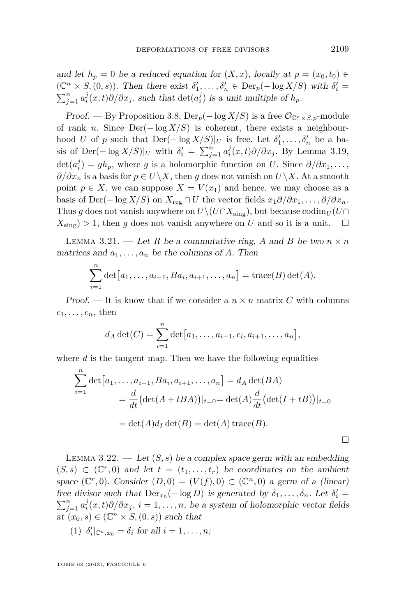<span id="page-13-0"></span>and let  $h_p = 0$  be a reduced equation for  $(X, x)$ , locally at  $p = (x_0, t_0) \in$  $(\mathbb{C}^n \times S, (0, s))$ . Then there exist  $\delta'_1, \ldots, \delta'_n \in \text{Der}_p(-\log X/S)$  with  $\delta'_i =$  $\sum_{j=1}^{n} a_i^j(x,t) \partial/\partial x_j$ , such that  $\det(a_i^j)$  is a unit multiple of  $h_p$ .

Proof. — By Proposition [3.8,](#page-9-0)  $\text{Der}_p(-\log X/S)$  is a free  $\mathcal{O}_{\mathbb{C}^n \times S,p}$ -module of rank *n*. Since  $Der(-\log X/S)$  is coherent, there exists a neighbourhood *U* of *p* such that  $Der(-\log X/S)|_U$  is free. Let  $\delta'_1, \ldots, \delta'_n$  be a basis of Der( $-\log X/S$ )|*U* with  $\delta_i' = \sum_{j=1}^n a_i^j(x,t)\partial/\partial x_j$ . By Lemma [3.19,](#page-12-0)  $\det(a_i^j) = gh_p$ , where *g* is a holomorphic function on *U*. Since  $\partial/\partial x_1, \ldots$ , *∂/∂x<sub>n</sub>* is a basis for  $p \in U\backslash X$ , then *g* does not vanish on  $U\backslash X$ . At a smooth point  $p \in X$ , we can suppose  $X = V(x_1)$  and hence, we may choose as a basis of Der( $-\log X/S$ ) on  $X_{\text{reg}} \cap U$  the vector fields  $x_1 \partial/\partial x_1, \ldots, \partial/\partial x_n$ . Thus *g* does not vanish anywhere on  $U\setminus (U\cap X_{\text{sing}})$ , but because codim<sub>*U*</sub> (*U* $\cap$  $X_{\text{sing}}$  > 1, then *g* does not vanish anywhere on *U* and so it is a unit.  $\square$ 

LEMMA 3.21. — Let R be a commutative ring, A and B be two  $n \times n$ matrices and  $a_1, \ldots, a_n$  be the columns of *A*. Then

$$
\sum_{i=1}^{n} \det [a_1, \dots, a_{i-1}, Ba_i, a_{i+1}, \dots, a_n] = \text{trace}(B) \det(A).
$$

Proof. — It is know that if we consider a  $n \times n$  matrix C with columns  $c_1, \ldots, c_n$ , then

$$
d_A \det(C) = \sum_{i=1}^n \det [a_1, \dots, a_{i-1}, c_i, a_{i+1}, \dots, a_n],
$$

where *d* is the tangent map. Then we have the following equalities

$$
\sum_{i=1}^{n} \det [a_1, \dots, a_{i-1}, Ba_i, a_{i+1}, \dots, a_n] = d_A \det(BA)
$$
  
= 
$$
\frac{d}{dt} (\det(A + tBA))|_{t=0} = \det(A) \frac{d}{dt} (\det(I + tB))|_{t=0}
$$
  
= 
$$
\det(A)d_I \det(B) = \det(A) \operatorname{trace}(B).
$$

LEMMA  $3.22.$  — Let  $(S, s)$  be a complex space germ with an embedding  $(S, s) \subset (\mathbb{C}^r, 0)$  and let  $t = (t_1, \ldots, t_r)$  be coordinates on the ambient space  $(\mathbb{C}^r, 0)$ . Consider  $(D, 0) = (V(f), 0) \subset (\mathbb{C}^n, 0)$  a germ of a (linear) free divisor such that  $Der_{x_0}(-\log D)$  is generated by  $\delta_1, \ldots, \delta_n$ . Let  $\delta'_i$  $\sum_{j=1}^{n} a_i^j(x,t) \partial/\partial x_j$ ,  $i = 1, \ldots, n$ , be a system of holomorphic vector fields  $at^{\checkmark}(x_0, s) \in (\mathbb{C}^n \times S, (0, s))$  such that

(1) 
$$
\delta_i' \vert_{\mathbb{C}^n, x_0} = \delta_i
$$
 for all  $i = 1, \ldots, n$ ;

TOME 63 (2013), FASCICULE 6

 $\Box$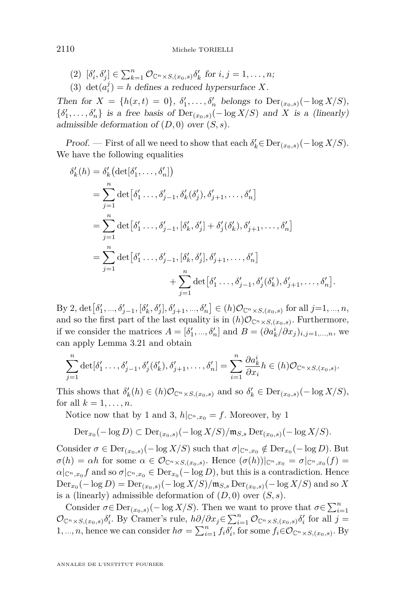- $(2) \; [\delta'_i, \delta'_j] \in \sum_{k=1}^n \mathcal{O}_{\mathbb{C}^n \times S, (x_0, s)} \delta'_k \text{ for } i, j = 1, \dots, n;$
- (3) det $(a_i^j) = h$  defines a reduced hypersurface *X*.

Then for  $X = \{h(x, t) = 0\}$ ,  $\delta'_1, \ldots, \delta'_n$  belongs to  $\text{Der}_{(x_0, s)}(-\log X/S)$ ,  $\{\delta'_1, \ldots, \delta'_n\}$  is a free basis of  $\text{Der}_{(x_0, s)}(-\log X/S)$  and X is a (linearly) admissible deformation of (*D,* 0) over (*S, s*).

Proof. — First of all we need to show that each  $\delta'_{k} \in \text{Der}_{(x_0, s)}(-\log X/S)$ . We have the following equalities

$$
\delta'_{k}(h) = \delta'_{k} \left( \det[\delta'_{1}, \ldots, \delta'_{n}] \right)
$$
\n
$$
= \sum_{j=1}^{n} \det[\delta'_{1} \ldots, \delta'_{j-1}, \delta'_{k}(\delta'_{j}), \delta'_{j+1}, \ldots, \delta'_{n}]
$$
\n
$$
= \sum_{j=1}^{n} \det[\delta'_{1} \ldots, \delta'_{j-1}, [\delta'_{k}, \delta'_{j}] + \delta'_{j}(\delta'_{k}), \delta'_{j+1}, \ldots, \delta'_{n}]
$$
\n
$$
= \sum_{j=1}^{n} \det[\delta'_{1} \ldots, \delta'_{j-1}, [\delta'_{k}, \delta'_{j}], \delta'_{j+1}, \ldots, \delta'_{n}]
$$
\n
$$
+ \sum_{j=1}^{n} \det[\delta'_{1} \ldots, \delta'_{j-1}, \delta'_{j}(\delta'_{k}), \delta'_{j+1}, \ldots, \delta'_{n}].
$$

By 2, det  $[\delta'_1, ..., \delta'_{j-1}, [\delta'_k, \delta'_j], \delta'_{j+1}, ..., \delta'_n] \in (h)\mathcal{O}_{\mathbb{C}^n \times S, (x_0, s)}$  for all  $j=1, ..., n$ , and so the first part of the last equality is in  $(h)\mathcal{O}_{\mathbb{C}^n\times S,(x_0,s)}$ . Furthermore, if we consider the matrices  $A = [\delta'_1, ..., \delta'_n]$  and  $B = (\partial a_k^i / \partial x_j)_{i,j=1,...,n}$ , we can apply Lemma [3.21](#page-13-0) and obtain

$$
\sum_{j=1}^n \det[\delta'_1 \ldots, \delta'_{j-1}, \delta'_j(\delta'_k), \delta'_{j+1}, \ldots, \delta'_n] = \sum_{i=1}^n \frac{\partial a_k^i}{\partial x_i} h \in (h) \mathcal{O}_{\mathbb{C}^n \times S, (x_0, s)}.
$$

This shows that  $\delta'_k(h) \in (h)\mathcal{O}_{\mathbb{C}^n \times S,(x_0,s)}$  and so  $\delta'_k \in \text{Der}_{(x_0,s)}(-\log X/S)$ , for all  $k = 1, \ldots, n$ .

Notice now that by [1](#page-13-0) and 3,  $h|_{\mathbb{C}^n,x_0} = f$ . Moreover, by 1

$$
\operatorname{Der}_{x_0}(-\log D) \subset \operatorname{Der}_{(x_0,s)}(-\log X/S)/\mathfrak{m}_{S,s}\operatorname{Der}_{(x_0,s)}(-\log X/S).
$$

Consider  $\sigma \in \text{Der}_{(x_0,s)}(-\log X/S)$  such that  $\sigma|_{\mathbb{C}^n,x_0} \notin \text{Der}_{x_0}(-\log D)$ . But  $\sigma(h) = \alpha h$  for some  $\alpha \in \mathcal{O}_{\mathbb{C}^n \times S, (\mathbf{x}_0, s)}$ . Hence  $(\sigma(h))|_{\mathbb{C}^n, x_0} = \sigma|_{\mathbb{C}^n, x_0}(f) =$  $\alpha|_{\mathbb{C}^n, x_0} f$  and so  $\sigma|_{\mathbb{C}^n, x_0} \in \text{Der}_{x_0}(-\log D)$ , but this is a contradiction. Hence  $\mathrm{Der}_{x_0}(-\log D) = \mathrm{Der}_{(x_0,s)}(-\log X/S)/\mathfrak{m}_{S,s}\,\mathrm{Der}_{(x_0,s)}(-\log X/S)$  and so  $X$ is a (linearly) admissible deformation of  $(D, 0)$  over  $(S, s)$ .

Consider  $\sigma \in \text{Der}_{(x_0,s)}(-\log X/S)$ . Then we want to prove that  $\sigma \in \sum_{i=1}^n$  $\mathcal{O}_{\mathbb{C}^n \times S,(x_0,s)} \delta'_i$ . By Cramer's rule,  $h\partial/\partial x_j \in \sum_{i=1}^n \mathcal{O}_{\mathbb{C}^n \times S,(x_0,s)} \delta'_i$  for all  $j =$ 1, ..., *n*, hence we can consider  $h\sigma = \sum_{i=1}^{n} f_i \delta_i'$ , for some  $f_i \in \mathcal{O}_{\mathbb{C}^n \times S, (x_0, s)}$ . By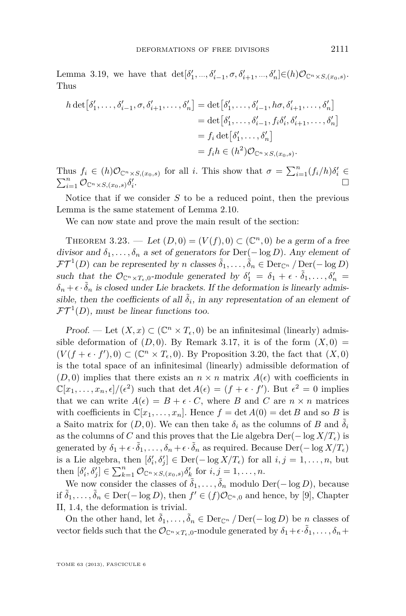<span id="page-15-0"></span>Lemma [3.19,](#page-12-0) we have that  $\det[\delta'_1, ..., \delta'_{i-1}, \sigma, \delta'_{i+1}, ..., \delta'_n] \in (h) \mathcal{O}_{\mathbb{C}^n \times S, (x_0, s)}$ . Thus

$$
h \det[\delta'_1, \dots, \delta'_{i-1}, \sigma, \delta'_{i+1}, \dots, \delta'_n] = \det[\delta'_1, \dots, \delta'_{i-1}, h\sigma, \delta'_{i+1}, \dots, \delta'_n]
$$
  
= 
$$
\det[\delta'_1, \dots, \delta'_{i-1}, f_i\delta'_i, \delta'_{i+1}, \dots, \delta'_n]
$$
  
= 
$$
f_i \det[\delta'_1, \dots, \delta'_n]
$$
  
= 
$$
f_i h \in (h^2) \mathcal{O}_{\mathbb{C}^n \times S, (x_0, s)}.
$$

Thus  $f_i \in (h)\mathcal{O}_{\mathbb{C}^n \times S,(x_0,s)}$  for all *i*. This show that  $\sigma = \sum_{i=1}^n (f_i/h)\delta'_i$  $\sum_{i=1}^n \mathcal{O}_{\mathbb{C}^n \times S,(x_0,s)} \delta_i'$ .

Notice that if we consider *S* to be a reduced point, then the previous Lemma is the same statement of Lemma [2.10.](#page-4-0)

We can now state and prove the main result of the section:

THEOREM 3.23. — Let  $(D, 0) = (V(f), 0) \subset (\mathbb{C}^n, 0)$  be a germ of a free divisor and  $\delta_1, \ldots, \delta_n$  a set of generators for Der(− log *D*). Any element of  $\mathcal{FT}^1(D)$  can be represented by *n* classes  $\tilde{\delta}_1, \ldots, \tilde{\delta}_n \in \text{Der}_{\mathbb{C}^n}/\text{Der}(-\log D)$ such that the  $\mathcal{O}_{\mathbb{C}^n \times T_{\epsilon},0}$ -module generated by  $\delta'_1 = \delta_1 + \epsilon \cdot \tilde{\delta}_1, \ldots, \delta'_n =$  $\delta_n + \epsilon \cdot \tilde{\delta}_n$  is closed under Lie brackets. If the deformation is linearly admissible, then the coefficients of all  $\tilde{\delta}_i$ , in any representation of an element of  $\mathcal{FT}^1(D)$ , must be linear functions too.

Proof. — Let  $(X, x) \subset (\mathbb{C}^n \times T_{\epsilon}, 0)$  be an infinitesimal (linearly) admissible deformation of  $(D, 0)$ . By Remark [3.17,](#page-12-0) it is of the form  $(X, 0)$  =  $(V(f + \epsilon \cdot f'), 0) \subset (\mathbb{C}^n \times T_{\epsilon}, 0)$ . By Proposition [3.20,](#page-12-0) the fact that  $(X, 0)$ is the total space of an infinitesimal (linearly) admissible deformation of  $(D, 0)$  implies that there exists an  $n \times n$  matrix  $A(\epsilon)$  with coefficients in  $\mathbb{C}[x_1,\ldots,x_n,\epsilon]/(\epsilon^2)$  such that det  $A(\epsilon) = (f + \epsilon \cdot f')$ . But  $\epsilon^2 = 0$  implies that we can write  $A(\epsilon) = B + \epsilon \cdot C$ , where *B* and *C* are  $n \times n$  matrices with coefficients in  $\mathbb{C}[x_1,\ldots,x_n]$ . Hence  $f = \det A(0) = \det B$  and so *B* is a Saito matrix for  $(D, 0)$ . We can then take  $\delta_i$  as the columns of *B* and  $\delta_i$ as the columns of *C* and this proves that the Lie algebra  $Der(-\log X/T_{\epsilon})$  is generated by  $\delta_1 + \epsilon \cdot \tilde{\delta}_1, \ldots, \delta_n + \epsilon \cdot \tilde{\delta}_n$  as required. Because  $\text{Der}(-\log X/T_{\epsilon})$ is a Lie algebra, then  $[\delta'_i, \delta'_j] \in \text{Der}(-\log X/T_{\epsilon})$  for all  $i, j = 1, \ldots, n$ , but then  $[\delta'_i, \delta'_j] \in \sum_{k=1}^n \mathcal{O}_{\mathbb{C}^n \times S, (\mathbf{x}_0, s)} \delta'_k$  for  $i, j = 1, \ldots, n$ .

We now consider the classes of  $\tilde{\delta}_1, \ldots, \tilde{\delta}_n$  modulo Der( $-\log D$ ), because if  $\tilde{\delta}_1, \ldots, \tilde{\delta}_n \in \text{Der}(-\log D)$ , then  $f' \in (f)\mathcal{O}_{\mathbb{C}^n,0}$  and hence, by [\[9\]](#page-40-0), Chapter II, 1.4, the deformation is trivial.

On the other hand, let  $\tilde{\delta}_1, \ldots, \tilde{\delta}_n \in \text{Der}_{\mathbb{C}^n}/\text{Der}(-\log D)$  be *n* classes of vector fields such that the  $\mathcal{O}_{\mathbb{C}^n \times T_{\epsilon},0}$ -module generated by  $\delta_1 + \epsilon \cdot \tilde{\delta}_1, \ldots, \delta_n + \epsilon$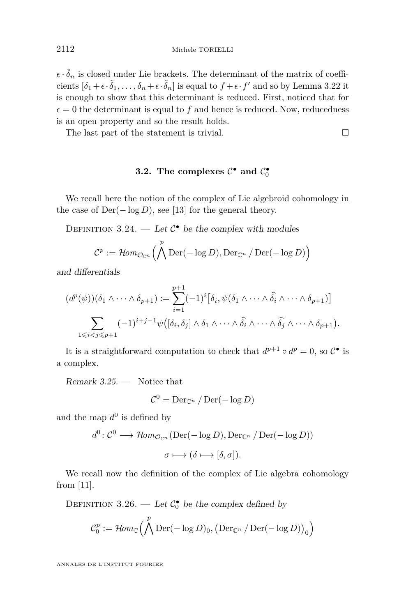$\epsilon \cdot \tilde{\delta}_n$  is closed under Lie brackets. The determinant of the matrix of coefficients  $[\delta_1 + \epsilon \cdot \tilde{\delta}_1, \ldots, \delta_n + \epsilon \cdot \tilde{\delta}_n]$  is equal to  $f + \epsilon \cdot f'$  and so by Lemma [3.22](#page-13-0) it is enough to show that this determinant is reduced. First, noticed that for  $\epsilon = 0$  the determinant is equal to f and hence is reduced. Now, reducedness is an open property and so the result holds.

The last part of the statement is trivial.  $\Box$ 

#### **3.2.** The complexes  $C^{\bullet}$  and  $C_0^{\bullet}$

We recall here the notion of the complex of Lie algebroid cohomology in the case of  $Der(-\log D)$ , see [\[13\]](#page-40-0) for the general theory.

DEFINITION 3.24. — Let  $C^{\bullet}$  be the complex with modules

$$
C^p := \mathcal{H}om_{\mathcal{O}_{\mathbb{C}^n}}\left(\bigwedge^p \mathrm{Der}(-\log D), \mathrm{Der}_{\mathbb{C}^n} / \mathrm{Der}(-\log D)\right)
$$

and differentials

$$
(d^p(\psi))(\delta_1 \wedge \cdots \wedge \delta_{p+1}) := \sum_{i=1}^{p+1} (-1)^i [\delta_i, \psi(\delta_1 \wedge \cdots \wedge \widehat{\delta_i} \wedge \cdots \wedge \delta_{p+1})]
$$

$$
\sum_{1 \leq i < j \leq p+1} (-1)^{i+j-1} \psi([\delta_i, \delta_j] \wedge \delta_1 \wedge \cdots \wedge \widehat{\delta_i} \wedge \cdots \wedge \widehat{\delta_j} \wedge \cdots \wedge \delta_{p+1}).
$$

It is a straightforward computation to check that  $d^{p+1} \circ d^p = 0$ , so  $C^{\bullet}$  is a complex.

Remark 3.25. — Notice that

$$
\mathcal{C}^0 = \mathrm{Der}_{\mathbb{C}^n} / \mathrm{Der}(-\log D)
$$

and the map  $d^0$  is defined by

$$
d^{0}: \mathcal{C}^{0} \longrightarrow \mathcal{H}om_{\mathcal{O}_{\mathbb{C}^{n}}}(\mathrm{Der}(-\log D), \mathrm{Der}_{\mathbb{C}^{n}}/\mathrm{Der}(-\log D))
$$

$$
\sigma \longmapsto (\delta \longmapsto [\delta, \sigma]).
$$

We recall now the definition of the complex of Lie algebra cohomology from [\[11\]](#page-40-0).

DEFINITION 3.26. — Let  $C_0^{\bullet}$  be the complex defined by

$$
\mathcal{C}_0^p := \mathcal{H}\hspace{-1pt}\mathit{om}_\mathbb{C}\Big(\bigwedge^p\mathrm{Der}(-\log D)_0, \big(\mathrm{Der}_{\mathbb{C}^n}\,/\,\mathrm{Der}(-\log D)\big)_0\Big)
$$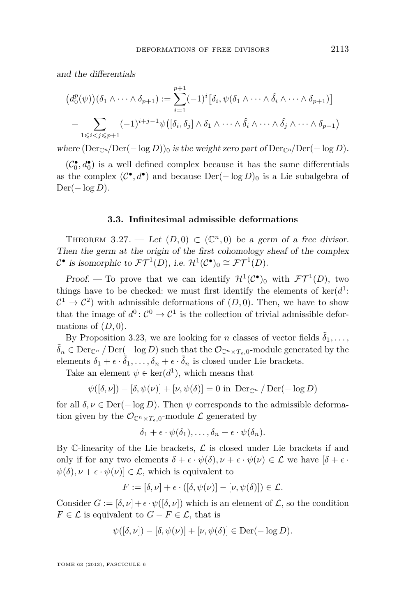<span id="page-17-0"></span>and the differentials

$$
(d_0^p(\psi))(\delta_1 \wedge \cdots \wedge \delta_{p+1}) := \sum_{i=1}^{p+1} (-1)^i [\delta_i, \psi(\delta_1 \wedge \cdots \wedge \hat{\delta_i} \wedge \cdots \wedge \delta_{p+1})]
$$
  
+ 
$$
\sum_{1 \leq i < j \leq p+1} (-1)^{i+j-1} \psi([\delta_i, \delta_j] \wedge \delta_1 \wedge \cdots \wedge \hat{\delta_i} \wedge \cdots \wedge \hat{\delta_j} \wedge \cdots \wedge \delta_{p+1})
$$

where  $(Der_{\mathbb{C}^n}/Der(-\log D))_0$  is the weight zero part of  $Der_{\mathbb{C}^n}/Der(-\log D)$ .

 $(\mathcal{C}_0^\bullet, d_0^\bullet)$  is a well defined complex because it has the same differentials as the complex  $(C^{\bullet}, d^{\bullet})$  and because  $\text{Der}(-\log D)_{0}$  is a Lie subalgebra of Der(− log *D*).

#### **3.3. Infinitesimal admissible deformations**

THEOREM 3.27. — Let  $(D,0) \subset (\mathbb{C}^n,0)$  be a germ of a free divisor. Then the germ at the origin of the first cohomology sheaf of the complex  $C^{\bullet}$  is isomorphic to  $\mathcal{FT}^1(D)$ , i.e.  $\mathcal{H}^1(\mathcal{C}^{\bullet})_0 \cong \mathcal{FT}^1(D)$ .

Proof. — To prove that we can identify  $\mathcal{H}^1(\mathcal{C}^{\bullet})_0$  with  $\mathcal{FT}^1(D)$ , two things have to be checked: we must first identify the elements of  $\ker(d^1)$ :  $\mathcal{C}^1 \to \mathcal{C}^2$  with admissible deformations of  $(D, 0)$ . Then, we have to show that the image of  $d^0: \mathcal{C}^0 \to \mathcal{C}^1$  is the collection of trivial admissible deformations of  $(D, 0)$ .

By Proposition [3.23,](#page-15-0) we are looking for *n* classes of vector fields  $\delta_1, \ldots$ ,  $\tilde{\delta}_n \in \text{Der}_{\mathbb{C}^n} / \text{Der}(-\log D)$  such that the  $\mathcal{O}_{\mathbb{C}^n \times T_{\epsilon},0}$ -module generated by the elements  $\delta_1 + \epsilon \cdot \tilde{\delta}_1, \ldots, \delta_n + \epsilon \cdot \tilde{\delta}_n$  is closed under Lie brackets.

Take an element  $\psi \in \text{ker}(d^1)$ , which means that

$$
\psi([\delta, \nu]) - [\delta, \psi(\nu)] + [\nu, \psi(\delta)] = 0 \text{ in } \operatorname{Der}_{\mathbb{C}^n} / \operatorname{Der}(-\log D)
$$

for all  $\delta, \nu \in \text{Der}(-\log D)$ . Then  $\psi$  corresponds to the admissible deformation given by the  $\mathcal{O}_{\mathbb{C}^n \times T_{\epsilon},0}$ -module  $\mathcal L$  generated by

$$
\delta_1 + \epsilon \cdot \psi(\delta_1), \ldots, \delta_n + \epsilon \cdot \psi(\delta_n).
$$

By  $\mathbb C$ -linearity of the Lie brackets,  $\mathcal L$  is closed under Lie brackets if and only if for any two elements  $\delta + \epsilon \cdot \psi(\delta), \nu + \epsilon \cdot \psi(\nu) \in \mathcal{L}$  we have  $[\delta + \epsilon \cdot$  $\psi(\delta), \nu + \epsilon \cdot \psi(\nu) \in \mathcal{L}$ , which is equivalent to

$$
F := [\delta, \nu] + \epsilon \cdot ([\delta, \psi(\nu)] - [\nu, \psi(\delta)]) \in \mathcal{L}.
$$

Consider  $G := [\delta, \nu] + \epsilon \cdot \psi([\delta, \nu])$  which is an element of  $\mathcal{L}$ , so the condition *F*  $\in$  *L* is equivalent to *G* − *F*  $\in$  *L*, that is

$$
\psi([\delta, \nu]) - [\delta, \psi(\nu)] + [\nu, \psi(\delta)] \in \text{Der}(-\log D).
$$

TOME 63 (2013), FASCICULE 6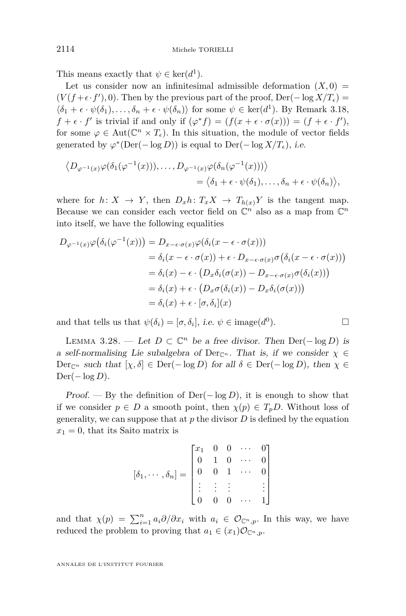<span id="page-18-0"></span>This means exactly that  $\psi \in \text{ker}(d^1)$ .

Let us consider now an infinitesimal admissible deformation  $(X, 0)$  $(V(f + \epsilon \cdot f'), 0)$ . Then by the previous part of the proof, Der( $-\log X/T_{\epsilon}$ ) =  $\langle \delta_1 + \epsilon \cdot \psi(\delta_1), \ldots, \delta_n + \epsilon \cdot \psi(\delta_n) \rangle$  for some  $\psi \in \text{ker}(d^1)$ . By Remark [3.18,](#page-12-0)  $f + \epsilon \cdot f'$  is trivial if and only if  $(\varphi^* f) = (f(x + \epsilon \cdot \sigma(x))) = (f + \epsilon \cdot f'),$ for some  $\varphi \in \text{Aut}(\mathbb{C}^n \times T_{\epsilon})$ . In this situation, the module of vector fields generated by  $\varphi^*(\text{Der}(-\log D))$  is equal to  $\text{Der}(-\log X/T_{\epsilon}),$  i.e.

$$
\langle D_{\varphi^{-1}(x)} \varphi(\delta_1(\varphi^{-1}(x))), \dots, D_{\varphi^{-1}(x)} \varphi(\delta_n(\varphi^{-1}(x))) \rangle
$$
  
=  $\langle \delta_1 + \epsilon \cdot \psi(\delta_1), \dots, \delta_n + \epsilon \cdot \psi(\delta_n) \rangle$ ,

where for  $h: X \to Y$ , then  $D_x h: T_x X \to T_{h(x)} Y$  is the tangent map. Because we can consider each vector field on  $\mathbb{C}^n$  also as a map from  $\mathbb{C}^n$ into itself, we have the following equalities

$$
D_{\varphi^{-1}(x)}\varphi(\delta_i(\varphi^{-1}(x))) = D_{x-\epsilon \cdot \sigma(x)}\varphi(\delta_i(x-\epsilon \cdot \sigma(x)))
$$
  
\n
$$
= \delta_i(x-\epsilon \cdot \sigma(x)) + \epsilon \cdot D_{x-\epsilon \cdot \sigma(x)}\sigma(\delta_i(x-\epsilon \cdot \sigma(x)))
$$
  
\n
$$
= \delta_i(x) - \epsilon \cdot (D_x\delta_i(\sigma(x)) - D_{x-\epsilon \cdot \sigma(x)}\sigma(\delta_i(x)))
$$
  
\n
$$
= \delta_i(x) + \epsilon \cdot (D_x\sigma(\delta_i(x)) - D_x\delta_i(\sigma(x)))
$$
  
\n
$$
= \delta_i(x) + \epsilon \cdot [\sigma, \delta_i](x)
$$

and that tells us that  $\psi(\delta_i) = [\sigma, \delta_i]$ , *i.e.*  $\psi \in \text{image}(d^0)$  $\Box$ 

LEMMA 3.28. — Let  $D \subset \mathbb{C}^n$  be a free divisor. Then Der(−log *D*) is a self-normalising Lie subalgebra of Der<sub>Cn</sub>. That is, if we consider  $\chi \in$  $Der_{\mathbb{C}^n}$  such that  $[\chi, \delta] \in Der(-\log D)$  for all  $\delta \in Der(-\log D)$ , then  $\chi \in$ Der(− log *D*).

Proof. — By the definition of Der(− log *D*), it is enough to show that if we consider  $p \in D$  a smooth point, then  $\chi(p) \in T_pD$ . Without loss of generality, we can suppose that at  $p$  the divisor  $D$  is defined by the equation  $x_1 = 0$ , that its Saito matrix is

$$
[\delta_1, \cdots, \delta_n] = \begin{bmatrix} x_1 & 0 & 0 & \cdots & 0 \\ 0 & 1 & 0 & \cdots & 0 \\ 0 & 0 & 1 & \cdots & 0 \\ \vdots & \vdots & \vdots & & \vdots \\ 0 & 0 & 0 & \cdots & 1 \end{bmatrix}
$$

and that  $\chi(p) = \sum_{i=1}^n a_i \partial/\partial x_i$  with  $a_i \in \mathcal{O}_{\mathbb{C}^n,p}$ . In this way, we have reduced the problem to proving that  $a_1 \in (x_1)\mathcal{O}_{\mathbb{C}^n,p}$ .

$$
\Box
$$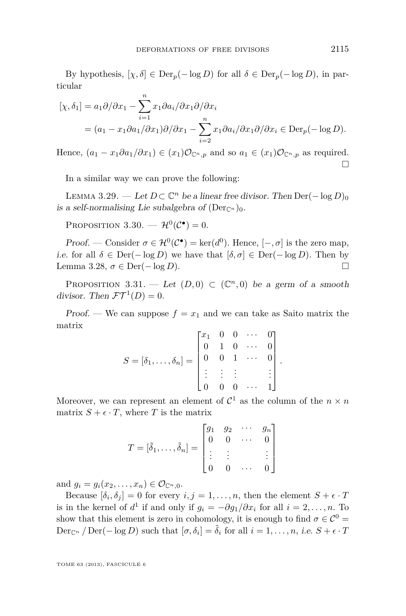<span id="page-19-0"></span>By hypothesis,  $[\chi, \delta] \in \text{Der}_p(-\log D)$  for all  $\delta \in \text{Der}_p(-\log D)$ , in particular

$$
[\chi, \delta_1] = a_1 \partial/\partial x_1 - \sum_{i=1}^n x_i \partial a_i / \partial x_1 \partial/\partial x_i
$$
  
=  $(a_1 - x_1 \partial a_1 / \partial x_1) \partial/\partial x_1 - \sum_{i=2}^n x_i \partial a_i / \partial x_1 \partial/\partial x_i \in \text{Der}_p(-\log D).$ 

Hence,  $(a_1 - x_1 \partial a_1 / \partial x_1) \in (x_1) \mathcal{O}_{\mathbb{C}^n, p}$  and so  $a_1 \in (x_1) \mathcal{O}_{\mathbb{C}^n, p}$  as required.  $\Box$ 

In a similar way we can prove the following:

LEMMA 3.29. − Let  $D \subset \mathbb{C}^n$  be a linear free divisor. Then  $\text{Der}(-\log D)_0$ is a self-normalising Lie subalgebra of  $(\text{Der}_{\mathbb{C}^n})_0$ .

PROPOSITION 3.30.  $- \mathcal{H}^0(\mathcal{C}^{\bullet}) = 0$ .

Proof. — Consider  $\sigma \in \mathcal{H}^0(\mathcal{C}^\bullet) = \text{ker}(d^0)$ . Hence,  $[-,\sigma]$  is the zero map, i.e. for all  $\delta \in \text{Der}(-\log D)$  we have that  $[\delta, \sigma] \in \text{Der}(-\log D)$ . Then by Lemma [3.28,](#page-18-0)  $\sigma \in \text{Der}(-\log D)$ .

PROPOSITION 3.31. — Let  $(D,0) \subset (\mathbb{C}^n,0)$  be a germ of a smooth divisor. Then  $\mathcal{FT}^1(D) = 0$ .

Proof. — We can suppose  $f = x_1$  and we can take as Saito matrix the matrix

$$
S = [\delta_1, \dots, \delta_n] = \begin{bmatrix} x_1 & 0 & 0 & \cdots & 0 \\ 0 & 1 & 0 & \cdots & 0 \\ 0 & 0 & 1 & \cdots & 0 \\ \vdots & \vdots & \vdots & & \vdots \\ 0 & 0 & 0 & \cdots & 1 \end{bmatrix}
$$

*.*

Moreover, we can represent an element of  $\mathcal{C}^1$  as the column of the  $n \times n$ matrix  $S + \epsilon \cdot T$ , where *T* is the matrix

$$
T = [\tilde{\delta}_1, \dots, \tilde{\delta}_n] = \begin{bmatrix} g_1 & g_2 & \cdots & g_n \\ 0 & 0 & \cdots & 0 \\ \vdots & \vdots & & \vdots \\ 0 & 0 & \cdots & 0 \end{bmatrix}
$$

and  $g_i = g_i(x_2, ..., x_n) \in \mathcal{O}_{\mathbb{C}^n, 0}$ .

Because  $[\delta_i, \delta_j] = 0$  for every  $i, j = 1, \ldots, n$ , then the element  $S + \epsilon \cdot T$ is in the kernel of  $d^1$  if and only if  $g_i = -\partial g_1/\partial x_i$  for all  $i = 2, \ldots, n$ . To show that this element is zero in cohomology, it is enough to find  $\sigma \in \mathcal{C}^0$  $\text{Der}_{\mathbb{C}^n}$  */*  $\text{Der}(-\log D)$  such that  $[\sigma, \delta_i] = \tilde{\delta}_i$  for all  $i = 1, \ldots, n$ , i.e.  $S + \epsilon \cdot T$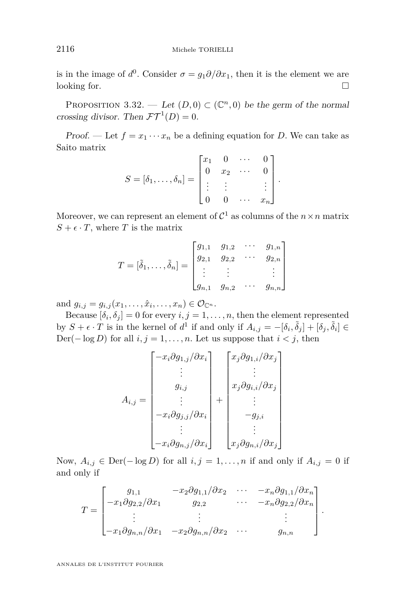is in the image of  $d^0$ . Consider  $\sigma = g_1 \partial/\partial x_1$ , then it is the element we are looking for.

PROPOSITION 3.32. — Let  $(D, 0) \subset (\mathbb{C}^n, 0)$  be the germ of the normal crossing divisor. Then  $\mathcal{FT}^1(D) = 0$ .

Proof. — Let  $f = x_1 \cdots x_n$  be a defining equation for *D*. We can take as Saito matrix

$$
S = [\delta_1, \dots, \delta_n] = \begin{bmatrix} x_1 & 0 & \cdots & 0 \\ 0 & x_2 & \cdots & 0 \\ \vdots & \vdots & & \vdots \\ 0 & 0 & \cdots & x_n \end{bmatrix}
$$

*.*

Moreover, we can represent an element of  $C^1$  as columns of the  $n \times n$  matrix  $S + \epsilon \cdot T$ , where *T* is the matrix

$$
T = [\tilde{\delta}_1, \dots, \tilde{\delta}_n] = \begin{bmatrix} g_{1,1} & g_{1,2} & \cdots & g_{1,n} \\ g_{2,1} & g_{2,2} & \cdots & g_{2,n} \\ \vdots & \vdots & & \vdots \\ g_{n,1} & g_{n,2} & \cdots & g_{n,n} \end{bmatrix}
$$

and  $g_{i,j} = g_{i,j}(x_1, \ldots, \hat{x}_i, \ldots, x_n) \in \mathcal{O}_{\mathbb{C}^n}$ .

Because  $[\delta_i, \delta_j] = 0$  for every  $i, j = 1, \ldots, n$ , then the element represented by  $S + \epsilon \cdot T$  is in the kernel of  $d^1$  if and only if  $A_{i,j} = -[\delta_i, \tilde{\delta}_j] + [\delta_j, \tilde{\delta}_i] \in$ Der( $-\log D$ ) for all  $i, j = 1, \ldots, n$ . Let us suppose that  $i < j$ , then

$$
A_{i,j} = \begin{bmatrix} -x_i \partial g_{1,j} / \partial x_i \\ \vdots \\ g_{i,j} \\ \vdots \\ -x_i \partial g_{j,j} / \partial x_i \\ \vdots \\ -x_i \partial g_{n,j} / \partial x_i \end{bmatrix} + \begin{bmatrix} x_j \partial g_{1,i} / \partial x_j \\ \vdots \\ x_j \partial g_{i,i} / \partial x_j \\ \vdots \\ -g_{j,i} \\ x_j \partial g_{n,i} / \partial x_j \end{bmatrix}
$$

Now,  $A_{i,j}$  ∈ Der(− log *D*) for all  $i, j = 1, ..., n$  if and only if  $A_{i,j} = 0$  if and only if

$$
T = \begin{bmatrix} g_{1,1} & -x_2 \partial g_{1,1} / \partial x_2 & \cdots & -x_n \partial g_{1,1} / \partial x_n \\ -x_1 \partial g_{2,2} / \partial x_1 & g_{2,2} & \cdots & -x_n \partial g_{2,2} / \partial x_n \\ \vdots & \vdots & & \vdots \\ -x_1 \partial g_{n,n} / \partial x_1 & -x_2 \partial g_{n,n} / \partial x_2 & \cdots & g_{n,n} \end{bmatrix}.
$$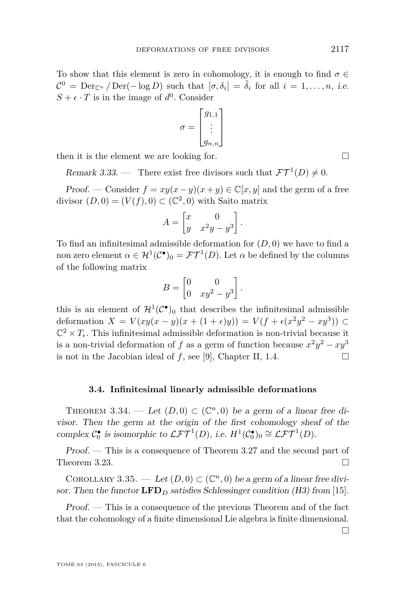To show that this element is zero in cohomology, it is enough to find  $\sigma \in$  $\mathcal{C}^0 = \text{Der}_{\mathbb{C}^n} / \text{Der}(-\log D)$  such that  $[\sigma, \delta_i] = \tilde{\delta}_i$  for all  $i = 1, \ldots, n$ , i.e.  $S + \epsilon \cdot T$  is in the image of  $d^0$ . Consider

$$
\sigma = \begin{bmatrix} g_{1,1} \\ \vdots \\ g_{n,n} \end{bmatrix}
$$

then it is the element we are looking for.  $\Box$ 

Remark 3.33. — There exist free divisors such that  $\mathcal{FT}^1(D) \neq 0$ .

Proof. — Consider  $f = xy(x - y)(x + y) \in \mathbb{C}[x, y]$  and the germ of a free divisor  $(D, 0) = (V(f), 0) \subset (\mathbb{C}^2, 0)$  with Saito matrix

$$
A = \begin{bmatrix} x & 0 \\ y & x^2y - y^3 \end{bmatrix}.
$$

To find an infinitesimal admissible deformation for (*D,* 0) we have to find a non zero element  $\alpha \in H^1(\mathcal{C}^{\bullet})_0 = \mathcal{FT}^1(D)$ . Let  $\alpha$  be defined by the columns of the following matrix

$$
B = \begin{bmatrix} 0 & 0 \\ 0 & xy^2 - y^3 \end{bmatrix}.
$$

this is an element of  $\mathcal{H}^1(\mathcal{C}^{\bullet})_0$  that describes the infinitesimal admissible deformation *X* = *V*(*xy*(*x* − *y*)(*x* + (1 +  $\epsilon$ )*y*)) = *V*(*f* +  $\epsilon$ (*x*<sup>2</sup>*y*<sup>2</sup> − *xy*<sup>3</sup>)) ⊂  $\mathbb{C}^2 \times T_{\epsilon}$ . This infinitesimal admissible deformation is non-trivial because it is a non-trivial deformation of *f* as a germ of function because  $x^2y^2 - xy^3$ is not in the Jacobian ideal of  $f$ , see [\[9\]](#page-40-0), Chapter II, 1.4.

#### **3.4. Infinitesimal linearly admissible deformations**

THEOREM 3.34. — Let  $(D,0) \subset (\mathbb{C}^n,0)$  be a germ of a linear free divisor. Then the germ at the origin of the first cohomology sheaf of the complex  $C_0^{\bullet}$  is isomorphic to  $\mathcal{LFT}^1(D)$ , i.e.  $H^1(\mathcal{C}_0^{\bullet})_0 \cong \mathcal{LFT}^1(D)$ .

Proof. — This is a consequence of Theorem [3.27](#page-17-0) and the second part of Theorem [3.23.](#page-15-0)

COROLLARY 3.35. — Let  $(D, 0) \subset (\mathbb{C}^n, 0)$  be a germ of a linear free divisor. Then the functor  $\mathbf{LFD}_D$  satisfies Schlessinger condition (H3) from [\[15\]](#page-40-0).

Proof. — This is a consequence of the previous Theorem and of the fact that the cohomology of a finite dimensional Lie algebra is finite dimensional.

 $\Box$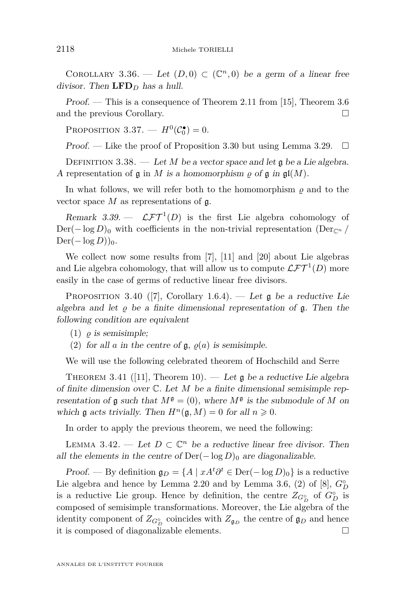<span id="page-22-0"></span>COROLLARY 3.36. — Let  $(D,0) \subset (\mathbb{C}^n,0)$  be a germ of a linear free divisor. Then  $\mathbf{LFD}_D$  has a hull.

Proof. — This is a consequence of Theorem 2.11 from [\[15\]](#page-40-0), Theorem [3.6](#page-8-0) and the previous Corollary.

PROPOSITION 3.37. –  $H^0(\mathcal{C}_0^{\bullet}) = 0$ .

Proof. — Like the proof of Proposition [3.30](#page-19-0) but using Lemma [3.29.](#page-19-0)  $\Box$ 

DEFINITION 3.38. — Let  $M$  be a vector space and let  $\mathfrak g$  be a Lie algebra. A representation of  $\mathfrak g$  in *M* is a homomorphism  $\rho$  of  $\mathfrak g$  in  $\mathfrak{gl}(M)$ .

In what follows, we will refer both to the homomorphism  $\rho$  and to the vector space *M* as representations of g.

Remark 3.39.  $\mathcal{LFT}^1(D)$  is the first Lie algebra cohomology of  $Der(-\log D)_0$  with coefficients in the non-trivial representation (Der<sub>Cn</sub> /  $Der(-\log D))_0.$ 

We collect now some results from [\[7\]](#page-40-0), [\[11\]](#page-40-0) and [\[20\]](#page-40-0) about Lie algebras and Lie algebra cohomology, that will allow us to compute  $\mathcal{LFT}^1(D)$  more easily in the case of germs of reductive linear free divisors.

PROPOSITION 3.40 ([\[7\]](#page-40-0), Corollary 1.6.4). — Let  $\mathfrak g$  be a reductive Lie algebra and let  $\rho$  be a finite dimensional representation of  $\mathfrak{g}$ . Then the following condition are equivalent

- $(1)$   $\rho$  *is semisimple*;
- (2) for all *a* in the centre of  $\mathfrak{g}, \varrho(a)$  is semisimple.

We will use the following celebrated theorem of Hochschild and Serre

THEOREM 3.41 ([\[11\]](#page-40-0), Theorem 10). — Let  $\mathfrak g$  be a reductive Lie algebra of finite dimension over C. Let *M* be a finite dimensional semisimple representation of  $\mathfrak g$  such that  $M^{\mathfrak g} = (0)$ , where  $M^{\mathfrak g}$  is the submodule of M on which g acts trivially. Then  $H^n(\mathfrak{g}, M) = 0$  for all  $n \geq 0$ .

In order to apply the previous theorem, we need the following:

LEMMA 3.42. — Let  $D \subset \mathbb{C}^n$  be a reductive linear free divisor. Then all the elements in the centre of  $Der(-\log D)_0$  are diagonalizable.

Proof. — By definition  $\mathfrak{g}_D = \{A \mid xA^t \partial^t \in \text{Der}(-\log D)_0\}$  is a reductive Lie algebra and hence by Lemma [2.20](#page-6-0) and by Lemma 3.6, (2) of [\[8\]](#page-40-0),  $G_D^{\circ}$ is a reductive Lie group. Hence by definition, the centre  $Z_{G_D^{\circ}}$  of  $G_D^{\circ}$  is composed of semisimple transformations. Moreover, the Lie algebra of the identity component of  $Z_{G_D^{\circ}}$  coincides with  $Z_{\mathfrak{g}_D}$  the centre of  $\mathfrak{g}_D$  and hence it is composed of diagonalizable elements.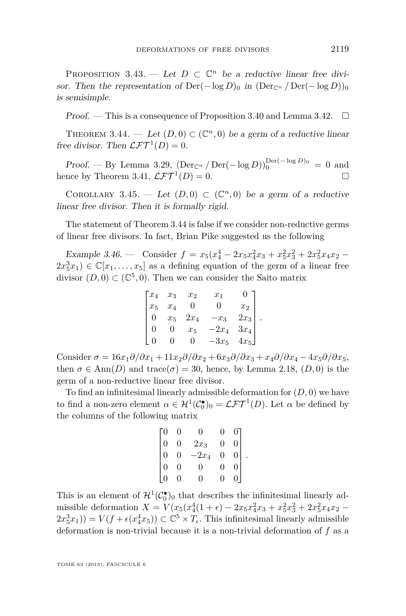<span id="page-23-0"></span>PROPOSITION 3.43. — Let  $D \subset \mathbb{C}^n$  be a reductive linear free divisor. Then the representation of  $Der(-\log D)_0$  in  $(Der_{\mathbb{C}^n}/Der(-\log D))_0$ is semisimple.

Proof. — This is a consequence of Proposition [3.40](#page-22-0) and Lemma [3.42.](#page-22-0)  $\Box$ 

THEOREM 3.44. — Let  $(D,0) \subset (\mathbb{C}^n,0)$  be a germ of a reductive linear free divisor. Then  $\mathcal{LFT}^1(D) = 0$ .

Proof. — By Lemma [3.29,](#page-19-0)  $(\text{Der}_{\mathbb{C}^n} / \text{Der}(-\log D))_0^{\text{Der}(-\log D)_0} = 0$  and hence by Theorem [3.41,](#page-22-0)  $\mathcal{LFT}^{1}(D) = 0$ .  $(D) = 0.$ 

COROLLARY 3.45. — Let  $(D,0) \subset (\mathbb{C}^n,0)$  be a germ of a reductive linear free divisor. Then it is formally rigid.

The statement of Theorem 3.44 is false if we consider non-reductive germs of linear free divisors. In fact, Brian Pike suggested us the following

Example 3.46. — Consider  $f = x_5(x_4^4 - 2x_5x_4^2x_3 + x_5^2x_3^2 + 2x_5^2x_4x_2$  –  $2x_5^3x_1$ )  $\in \mathbb{C}[x_1,\ldots,x_5]$  as a defining equation of the germ of a linear free divisor  $(D,0) \subset (\mathbb{C}^5,0)$ . Then we can consider the Saito matrix

|                                                 | $x_3$    |                                        | $x_1$                                         | $\mathbf{0}$                                 |  |
|-------------------------------------------------|----------|----------------------------------------|-----------------------------------------------|----------------------------------------------|--|
| $\begin{bmatrix} x_4 \\ x_5 \\ 0 \end{bmatrix}$ | $x_4$    | $\begin{matrix} x_2 \\ 0 \end{matrix}$ | U                                             | $x_2$                                        |  |
|                                                 | $x_5$    | $2x_4$                                 | $-x_3$                                        | $\begin{vmatrix} 2x_3 \\ 3x_4 \end{vmatrix}$ |  |
| $\overline{0}$                                  | 0        | $x_5$                                  | $\begin{array}{c} -2x_4 \\ -3x_5 \end{array}$ |                                              |  |
|                                                 | $\Omega$ | $\left( \right)$                       |                                               | $4x_5$                                       |  |

Consider  $\sigma = 16x_1\partial/\partial x_1 + 11x_2\partial/\partial x_2 + 6x_3\partial/\partial x_3 + x_4\partial/\partial x_4 - 4x_5\partial/\partial x_5$ then  $\sigma \in \text{Ann}(D)$  and trace( $\sigma$ ) = 30, hence, by Lemma [2.18,](#page-5-0) (D,0) is the germ of a non-reductive linear free divisor.

To find an infinitesimal linearly admissible deformation for (*D,* 0) we have to find a non-zero element  $\alpha \in H^1(\mathcal{C}_0^{\bullet})_0 = \mathcal{LFT}^1(D)$ . Let  $\alpha$  be defined by the columns of the following matrix

| $\cdot 0$ | 0              | O.             |   |  |
|-----------|----------------|----------------|---|--|
|           | $\overline{0}$ | $2x_3$         | 0 |  |
|           | $\overline{0}$ | $-2x_4$        | 0 |  |
|           | $\overline{0}$ | $\overline{0}$ | 0 |  |
|           |                | O).            |   |  |

This is an element of  $\mathcal{H}^1(\mathcal{C}_0^{\bullet})_0$  that describes the infinitesimal linearly admissible deformation  $X = V(x_5(x_4^4(1+\epsilon) - 2x_5x_4^2x_3 + x_5^2x_3^2 + 2x_5^2x_4x_2 2x_5^3x_1$ )) =  $V(f + \epsilon(x_4^4x_5)) \subset \mathbb{C}^5 \times T_{\epsilon}$ . This infinitesimal linearly admissible deformation is non-trivial because it is a non-trivial deformation of *f* as a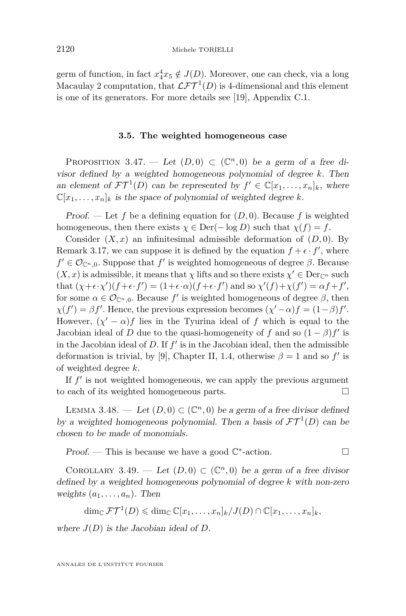<span id="page-24-0"></span>germ of function, in fact  $x_4^4x_5 \notin J(D)$ . Moreover, one can check, via a long Macaulay 2 computation, that  $\mathcal{LFT}^1(D)$  is 4-dimensional and this element is one of its generators. For more details see [\[19\]](#page-40-0), Appendix C.1.

#### **3.5. The weighted homogeneous case**

PROPOSITION 3.47. — Let  $(D,0) \subset (\mathbb{C}^n,0)$  be a germ of a free divisor defined by a weighted homogeneous polynomial of degree *k*. Then an element of  $\mathcal{FT}^1(D)$  can be represented by  $f' \in \mathbb{C}[x_1,\ldots,x_n]_k$ , where  $\mathbb{C}[x_1,\ldots,x_n]_k$  is the space of polynomial of weighted degree *k*.

Proof. — Let f be a defining equation for  $(D, 0)$ . Because f is weighted homogeneous, then there exists  $\chi \in \text{Der}(-\log D)$  such that  $\chi(f) = f$ .

Consider  $(X, x)$  an infinitesimal admissible deformation of  $(D, 0)$ . By Remark [3.17,](#page-12-0) we can suppose it is defined by the equation  $f + \epsilon \cdot f'$ , where  $f' \in \mathcal{O}_{\mathbb{C}^n,0}$ . Suppose that  $f'$  is weighted homogeneous of degree  $\beta$ . Because  $(X, x)$  is admissible, it means that  $\chi$  lifts and so there exists  $\chi' \in \text{Der}_{\mathbb{C}^n}$  such that  $(\chi + \epsilon \cdot \chi') (f + \epsilon \cdot f') = (1 + \epsilon \cdot \alpha) (f + \epsilon \cdot f')$  and so  $\chi'(f) + \chi(f') = \alpha f + f'$ , for some  $\alpha \in \mathcal{O}_{\mathbb{C}^n,0}$ . Because  $f'$  is weighted homogeneous of degree  $\beta$ , then  $\chi(f') = \beta f'$ . Hence, the previous expression becomes  $(\chi' - \alpha)f = (1 - \beta)f'$ . However,  $(\chi' - \alpha)f$  lies in the Tyurina ideal of f which is equal to the Jacobian ideal of *D* due to the quasi-homogeneity of *f* and so  $(1 - \beta)f'$  is in the Jacobian ideal of  $D$ . If  $f'$  is in the Jacobian ideal, then the admissible deformation is trivial, by [\[9\]](#page-40-0), Chapter II, 1.4, otherwise  $\beta = 1$  and so  $f'$  is of weighted degree *k*.

If  $f'$  is not weighted homogeneous, we can apply the previous argument to each of its weighted homogeneous parts.

LEMMA 3.48. — Let  $(D, 0) \subset (\mathbb{C}^n, 0)$  be a germ of a free divisor defined by a weighted homogeneous polynomial. Then a basis of  $\mathcal{FT}^1(D)$  can be chosen to be made of monomials.

Proof. — This is because we have a good  $\mathbb{C}^*$ -action.

COROLLARY 3.49. — Let  $(D,0) \subset (\mathbb{C}^n,0)$  be a germ of a free divisor defined by a weighted homogeneous polynomial of degree *k* with non-zero weights  $(a_1, \ldots, a_n)$ . Then

$$
\dim_{\mathbb{C}} \mathcal{FT}^1(D) \leq \dim_{\mathbb{C}} \mathbb{C}[x_1,\ldots,x_n]_k/J(D) \cap \mathbb{C}[x_1,\ldots,x_n]_k,
$$

where  $J(D)$  is the Jacobian ideal of  $D$ .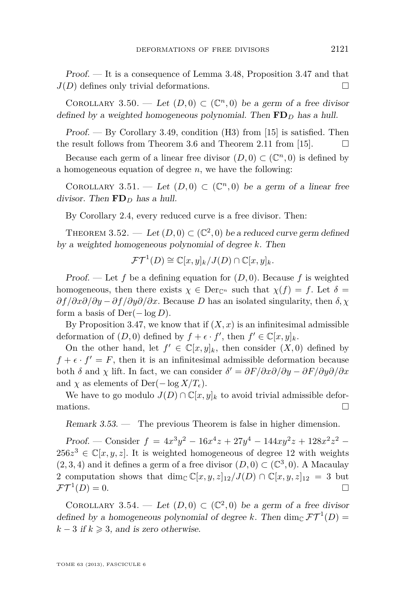<span id="page-25-0"></span>Proof. — It is a consequence of Lemma [3.48,](#page-24-0) Proposition [3.47](#page-24-0) and that  $J(D)$  defines only trivial deformations.

COROLLARY 3.50. — Let  $(D,0) \subset (\mathbb{C}^n,0)$  be a germ of a free divisor defined by a weighted homogeneous polynomial. Then **FD***<sup>D</sup>* has a hull.

Proof. — By Corollary [3.49,](#page-24-0) condition (H3) from [\[15\]](#page-40-0) is satisfied. Then the result follows from Theorem [3.6](#page-8-0) and Theorem 2.11 from [\[15\]](#page-40-0).  $\Box$ 

Because each germ of a linear free divisor  $(D,0) \subset (\mathbb{C}^n,0)$  is defined by a homogeneous equation of degree *n*, we have the following:

COROLLARY 3.51. — Let  $(D,0) \subset (\mathbb{C}^n,0)$  be a germ of a linear free divisor. Then **FD***<sup>D</sup>* has a hull.

By Corollary [2.4,](#page-3-0) every reduced curve is a free divisor. Then:

THEOREM 3.52. — Let  $(D, 0) \subset (\mathbb{C}^2, 0)$  be a reduced curve germ defined by a weighted homogeneous polynomial of degree *k*. Then

$$
\mathcal{FT}^1(D) \cong \mathbb{C}[x,y]_k/J(D) \cap \mathbb{C}[x,y]_k.
$$

Proof. — Let f be a defining equation for  $(D, 0)$ . Because f is weighted homogeneous, then there exists  $\chi \in \text{Der}_{\mathbb{C}^n}$  such that  $\chi(f) = f$ . Let  $\delta =$ *∂f /∂x∂/∂y* − *∂f /∂y∂/∂x*. Because *D* has an isolated singularity, then *δ, χ* form a basis of Der(− log *D*).

By Proposition [3.47,](#page-24-0) we know that if  $(X, x)$  is an infinitesimal admissible deformation of  $(D, 0)$  defined by  $f + \epsilon \cdot f'$ , then  $f' \in \mathbb{C}[x, y]_k$ .

On the other hand, let  $f' \in \mathbb{C}[x,y]_k$ , then consider  $(X,0)$  defined by  $f + \epsilon \cdot f' = F$ , then it is an infinitesimal admissible deformation because both  $\delta$  and  $\chi$  lift. In fact, we can consider  $\delta' = \frac{\partial F}{\partial x \partial/\partial y} - \frac{\partial F}{\partial y \partial/\partial x}$ and  $\chi$  as elements of Der( $-\log X/T_{\epsilon}$ ).

We have to go modulo  $J(D) \cap \mathbb{C}[x,y]_k$  to avoid trivial admissible deformations.  $\Box$ 

Remark 3.53. — The previous Theorem is false in higher dimension.

Proof. — Consider  $f = 4x^3y^2 - 16x^4z + 27y^4 - 144xy^2z + 128x^2z^2$  $256z^3 \in \mathbb{C}[x, y, z]$ . It is weighted homogeneous of degree 12 with weights  $(2,3,4)$  and it defines a germ of a free divisor  $(D,0) \subset (\mathbb{C}^3,0)$ . A Macaulay 2 computation shows that dim<sub>C</sub>  $\mathbb{C}[x, y, z]_{12}/J(D) \cap \mathbb{C}[x, y, z]_{12} = 3$  but  $\mathcal{FT}^1(D) = 0.$ 

COROLLARY 3.54. — Let  $(D,0) \subset (\mathbb{C}^2,0)$  be a germ of a free divisor defined by a homogeneous polynomial of degree k. Then dim<sub>C</sub>  $\mathcal{FT}^1(D)$  =  $k-3$  if  $k \geq 3$ , and is zero otherwise.

TOME 63 (2013), FASCICULE 6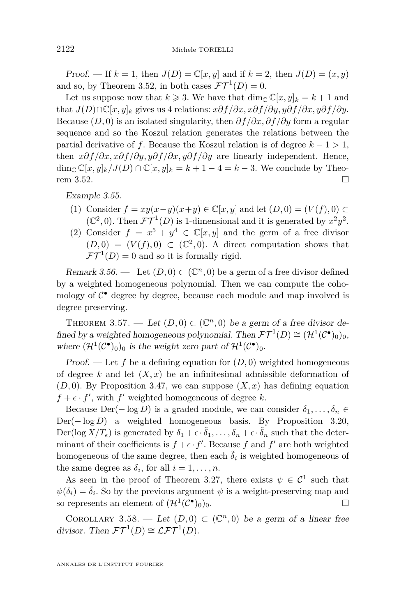<span id="page-26-0"></span>Proof. — If  $k = 1$ , then  $J(D) = \mathbb{C}[x, y]$  and if  $k = 2$ , then  $J(D) = (x, y)$ and so, by Theorem [3.52,](#page-25-0) in both cases  $\mathcal{FT}^1(D) = 0$ .

Let us suppose now that  $k \ge 3$ . We have that  $\dim_{\mathbb{C}} \mathbb{C}[x, y]_k = k+1$  and that  $J(D) \cap \mathbb{C}[x,y]_k$  gives us 4 relations:  $x \partial f / \partial x, x \partial f / \partial y, y \partial f / \partial x, y \partial f / \partial y$ . Because (*D,* 0) is an isolated singularity, then *∂f /∂x, ∂f /∂y* form a regular sequence and so the Koszul relation generates the relations between the partial derivative of *f*. Because the Koszul relation is of degree  $k - 1 > 1$ , then *x∂f /∂x, x∂f /∂y, y∂f /∂x, y∂f /∂y* are linearly independent. Hence, dim<sub>C</sub>  $\mathbb{C}[x,y]_k / J(D) \cap \mathbb{C}[x,y]_k = k+1-4 = k-3$ . We conclude by Theo-rem [3.52.](#page-25-0)

Example 3.55.

- (1) Consider  $f = xy(x-y)(x+y) \in \mathbb{C}[x, y]$  and let  $(D, 0) = (V(f), 0) \subset \mathbb{C}[x, y]$  $(\mathbb{C}^2, 0)$ . Then  $\mathcal{FT}^1(D)$  is 1-dimensional and it is generated by  $x^2y^2$ .
- (2) Consider  $f = x^5 + y^4 \in \mathbb{C}[x, y]$  and the germ of a free divisor  $(D,0) = (V(f),0) \subset (\mathbb{C}^2,0)$ . A direct computation shows that  $\mathcal{FT}^1(D) = 0$  and so it is formally rigid.

Remark 3.56. — Let  $(D, 0) \subset (\mathbb{C}^n, 0)$  be a germ of a free divisor defined by a weighted homogeneous polynomial. Then we can compute the cohomology of  $C^{\bullet}$  degree by degree, because each module and map involved is degree preserving.

THEOREM 3.57. — Let  $(D,0) \subset (\mathbb{C}^n,0)$  be a germ of a free divisor defined by a weighted homogeneous polynomial. Then  $\mathcal{FT}^1(D) \cong (\mathcal{H}^1(\mathcal{C}^{\bullet})_0)_0$ , where  $(\mathcal{H}^1(\mathcal{C}^{\bullet})_0)_0$  is the weight zero part of  $\mathcal{H}^1(\mathcal{C}^{\bullet})_0$ .

Proof. — Let f be a defining equation for  $(D, 0)$  weighted homogeneous of degree  $k$  and let  $(X, x)$  be an infinitesimal admissible deformation of  $(D, 0)$ . By Proposition [3.47,](#page-24-0) we can suppose  $(X, x)$  has defining equation  $f + \epsilon \cdot f'$ , with  $f'$  weighted homogeneous of degree *k*.

Because  $Der(-\log D)$  is a graded module, we can consider  $\delta_1, \ldots, \delta_n \in$ Der(− log *D*) a weighted homogeneous basis. By Proposition [3.20,](#page-12-0) Der(log  $X/T_{\epsilon}$ ) is generated by  $\delta_1 + \epsilon \cdot \tilde{\delta}_1, \ldots, \delta_n + \epsilon \cdot \tilde{\delta}_n$  such that the determinant of their coefficients is  $f + \epsilon \cdot f'$ . Because f and f' are both weighted homogeneous of the same degree, then each  $\tilde{\delta}_i$  is weighted homogeneous of the same degree as  $\delta_i$ , for all  $i = 1, \ldots, n$ .

As seen in the proof of Theorem [3.27,](#page-17-0) there exists  $\psi \in \mathcal{C}^1$  such that  $\psi(\delta_i) = \tilde{\delta}_i$ . So by the previous argument  $\psi$  is a weight-preserving map and so represents an element of  $(\mathcal{H}^1(\mathcal{C}^{\bullet}))$  $)$ <sub>0</sub>)<sub>0</sub>.  $\Box$ 

COROLLARY 3.58. — Let  $(D,0) \subset (\mathbb{C}^n,0)$  be a germ of a linear free divisor. Then  $\mathcal{FT}^1(D) \cong \mathcal{LFT}^1(D)$ .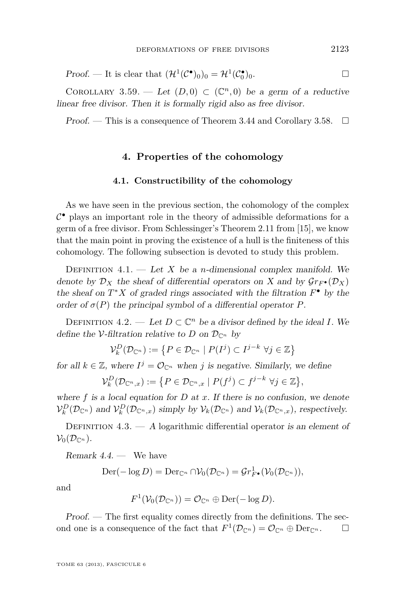Proof. — It is clear that  $(\mathcal{H}^1(\mathcal{C}^{\bullet})_0)_0 = \mathcal{H}^1(\mathcal{C}^{\bullet}_0)$  $)$ <sub>0</sub>.

COROLLARY 3.59. — Let  $(D,0) \subset (\mathbb{C}^n,0)$  be a germ of a reductive linear free divisor. Then it is formally rigid also as free divisor.

Proof. — This is a consequence of Theorem [3.44](#page-23-0) and Corollary [3.58.](#page-26-0)  $\Box$ 

#### **4. Properties of the cohomology**

#### **4.1. Constructibility of the cohomology**

As we have seen in the previous section, the cohomology of the complex  $\mathcal{C}^{\bullet}$  plays an important role in the theory of admissible deformations for a germ of a free divisor. From Schlessinger's Theorem 2.11 from [\[15\]](#page-40-0), we know that the main point in proving the existence of a hull is the finiteness of this cohomology. The following subsection is devoted to study this problem.

DEFINITION  $4.1.$  — Let *X* be a *n*-dimensional complex manifold. We denote by  $\mathcal{D}_X$  the sheaf of differential operators on X and by  $\mathcal{G}r_F\bullet(\mathcal{D}_X)$ the sheaf on  $T^*X$  of graded rings associated with the filtration  $F^{\bullet}$  by the order of  $\sigma(P)$  the principal symbol of a differential operator P.

DEFINITION  $4.2.$  — Let  $D \subset \mathbb{C}^n$  be a divisor defined by the ideal *I*. We define the V-filtration relative to *D* on  $\mathcal{D}_{\mathbb{C}^n}$  by

$$
\mathcal{V}_k^D(\mathcal{D}_{\mathbb{C}^n}) := \left\{ P \in \mathcal{D}_{\mathbb{C}^n} \mid P(I^j) \subset I^{j-k} \; \forall j \in \mathbb{Z} \right\}
$$

for all  $k \in \mathbb{Z}$ , where  $I^j = \mathcal{O}_{\mathbb{C}^n}$  when *j* is negative. Similarly, we define

$$
\mathcal{V}_k^D(\mathcal{D}_{\mathbb{C}^n,x}) := \big\{ P \in \mathcal{D}_{\mathbb{C}^n,x} \mid P(f^j) \subset f^{j-k} \,\,\forall j \in \mathbb{Z} \big\},\
$$

where  $f$  is a local equation for  $D$  at  $x$ . If there is no confusion, we denote  $\mathcal{V}_k^D(\mathcal{D}_{\mathbb{C}^n})$  and  $\mathcal{V}_k^D(\mathcal{D}_{\mathbb{C}^n,x})$  simply by  $\mathcal{V}_k(\mathcal{D}_{\mathbb{C}^n})$  and  $\mathcal{V}_k(\mathcal{D}_{\mathbb{C}^n,x})$ , respectively.

DEFINITION  $4.3.$  — A logarithmic differential operator is an element of  $\mathcal{V}_0(\mathcal{D}_{\mathbb{C}^n}).$ 

Remark  $4.4.$  — We have

$$
\mathrm{Der}(-\log D) = \mathrm{Der}_{\mathbb{C}^n} \cap \mathcal{V}_0(\mathcal{D}_{\mathbb{C}^n}) = \mathcal{G}r^1_{F^{\bullet}}(\mathcal{V}_0(\mathcal{D}_{\mathbb{C}^n})),
$$

and

$$
F^1(\mathcal{V}_0(\mathcal{D}_{\mathbb{C}^n}))=\mathcal{O}_{\mathbb{C}^n}\oplus \mathrm{Der}(-\log D).
$$

Proof. — The first equality comes directly from the definitions. The second one is a consequence of the fact that  $F^1(\mathcal{D}_{\mathbb{C}^n}) = \mathcal{O}_{\mathbb{C}^n} \oplus \text{Der}_{\mathbb{C}^n}$ .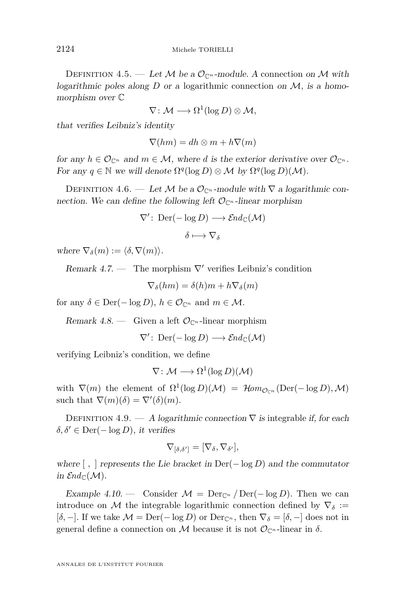DEFINITION 4.5. — Let M be a  $\mathcal{O}_{\mathbb{C}^n}$ -module. A connection on M with logarithmic poles along  $D$  or a logarithmic connection on  $M$ , is a homomorphism over C

$$
\nabla\colon \mathcal{M}\longrightarrow \Omega^1(\log D)\otimes \mathcal{M},
$$

that verifies Leibniz's identity

$$
\nabla(hm) = dh \otimes m + h\nabla(m)
$$

for any  $h \in \mathcal{O}_{\mathbb{C}^n}$  and  $m \in \mathcal{M}$ , where *d* is the exterior derivative over  $\mathcal{O}_{\mathbb{C}^n}$ . For any  $q \in \mathbb{N}$  we will denote  $\Omega^q(\log D) \otimes \mathcal{M}$  by  $\Omega^q(\log D)(\mathcal{M})$ .

DEFINITION 4.6. — Let M be a  $\mathcal{O}_{\mathbb{C}^n}$ -module with  $\nabla$  a logarithmic connection. We can define the following left  $\mathcal{O}_{\mathbb{C}^n}$ -linear morphism

$$
\nabla' : \operatorname{Der}(-\log D) \longrightarrow \mathcal{E}nd_{\mathbb{C}}(\mathcal{M})
$$

$$
\delta \longmapsto \nabla_{\delta}
$$

where  $\nabla_{\delta}(m) := \langle \delta, \nabla(m) \rangle$ .

Remark 4.7. — The morphism  $\nabla'$  verifies Leibniz's condition

$$
\nabla_{\delta}(hm) = \delta(h)m + h\nabla_{\delta}(m)
$$

for any  $\delta \in \text{Der}(-\log D)$ ,  $h \in \mathcal{O}_{\mathbb{C}^n}$  and  $m \in \mathcal{M}$ .

Remark 4.8. — Given a left  $\mathcal{O}_{\mathbb{C}^n}$ -linear morphism

 $\nabla'$ : Der( $-\log D$ )  $\longrightarrow$   $\mathcal{E}nd_{\mathbb{C}}(\mathcal{M})$ 

verifying Leibniz's condition, we define

$$
\nabla\colon \mathcal{M}\longrightarrow \Omega^1(\log D)(\mathcal{M})
$$

with  $\nabla(m)$  the element of  $\Omega^1(\log D)(\mathcal{M}) = \mathcal{H}om_{\mathcal{O}_{\mathbb{C}^n}}(\text{Der}(-\log D),\mathcal{M})$ such that  $\nabla(m)(\delta) = \nabla'(\delta)(m)$ .

DEFINITION 4.9. — A logarithmic connection  $\nabla$  is integrable if, for each  $\delta, \delta' \in \text{Der}(-\log D)$ , it verifies

$$
\nabla_{[\delta,\delta']}=[\nabla_{\delta},\nabla_{\delta'}],
$$

where  $\lceil \cdot \rceil$  represents the Lie bracket in Der( $-\log D$ ) and the commutator in  $\mathcal{E}nd_{\mathbb{C}}(\mathcal{M}).$ 

Example 4.10. — Consider  $\mathcal{M} = \text{Der}_{\mathbb{C}^n}/\text{Der}(-\log D)$ . Then we can introduce on M the integrable logarithmic connection defined by  $\nabla_{\delta}$  := [ $\delta$ , −]. If we take  $\mathcal{M} = \text{Der}(-\log D)$  or  $\text{Der}_{\mathbb{C}^n}$ , then  $\nabla_{\delta} = [\delta, -]$  does not in general define a connection on M because it is not  $\mathcal{O}_{\mathbb{C}^n}$ -linear in  $\delta$ .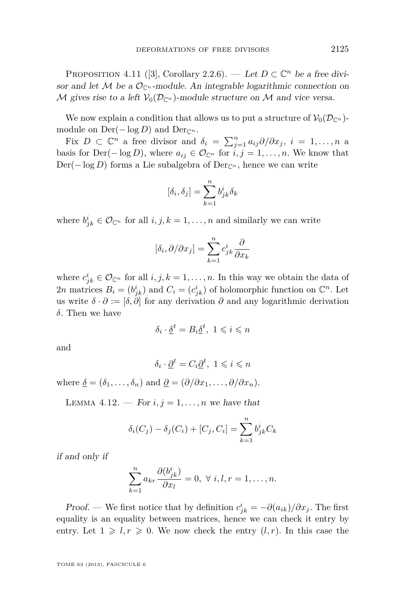<span id="page-29-0"></span>PROPOSITION 4.11 ([\[3\]](#page-39-0), Corollary 2.2.6). — Let  $D \subset \mathbb{C}^n$  be a free divisor and let M be a  $\mathcal{O}_{\mathbb{C}^n}$ -module. An integrable logarithmic connection on M gives rise to a left  $V_0(\mathcal{D}_{\mathbb{C}^n})$ -module structure on M and vice versa.

We now explain a condition that allows us to put a structure of  $\mathcal{V}_0(\mathcal{D}_{\mathbb{C}^n})$ module on  $Der(-\log D)$  and  $Der_{\mathbb{C}^n}$ .

Fix  $D \subset \mathbb{C}^n$  a free divisor and  $\delta_i = \sum_{j=1}^n a_{ij} \partial/\partial x_j$ ,  $i = 1, \ldots, n$  a basis for Der( $-\log D$ ), where  $a_{ij} \in \mathcal{O}_{\mathbb{C}^n}$  for  $i, j = 1, \ldots, n$ . We know that Der(−log *D*) forms a Lie subalgebra of Der<sub>Cn</sub>, hence we can write

$$
[\delta_i, \delta_j] = \sum_{k=1}^n b_{jk}^i \delta_k
$$

where  $b_{jk}^i \in \mathcal{O}_{\mathbb{C}^n}$  for all  $i, j, k = 1, \ldots, n$  and similarly we can write

$$
[\delta_i, \partial/\partial x_j] = \sum_{k=1}^n c_{jk}^i \frac{\partial}{\partial x_k}
$$

where  $c_{jk}^i \in \mathcal{O}_{\mathbb{C}^n}$  for all  $i, j, k = 1, \ldots, n$ . In this way we obtain the data of 2*n* matrices  $B_i = (b^i_{jk})$  and  $C_i = (c^i_{jk})$  of holomorphic function on  $\mathbb{C}^n$ . Let us write  $\delta \cdot \partial := [\delta, \partial]$  for any derivation  $\partial$  and any logarithmic derivation *δ*. Then we have

$$
\delta_i \cdot \underline{\delta}^t = B_i \underline{\delta}^t, \ 1 \leqslant i \leqslant n
$$

and

$$
\delta_i \cdot \underline{\partial}^t = C_i \underline{\partial}^t, \ 1 \leqslant i \leqslant n
$$

where  $\delta = (\delta_1, \ldots, \delta_n)$  and  $\partial = (\partial/\partial x_1, \ldots, \partial/\partial x_n)$ .

LEMMA 4.12. — For  $i, j = 1, \ldots, n$  we have that

$$
\delta_i(C_j) - \delta_j(C_i) + [C_j, C_i] = \sum_{k=1}^n b_{jk}^i C_k
$$

if and only if

$$
\sum_{k=1}^{n} a_{kr} \frac{\partial (b_{jk}^i)}{\partial x_l} = 0, \ \forall \ i, l, r = 1, \dots, n.
$$

Proof. — We first notice that by definition  $c_{jk}^i = -\partial(a_{ik})/\partial x_j$ . The first equality is an equality between matrices, hence we can check it entry by entry. Let  $1 \geq l, r \geq 0$ . We now check the entry  $(l, r)$ . In this case the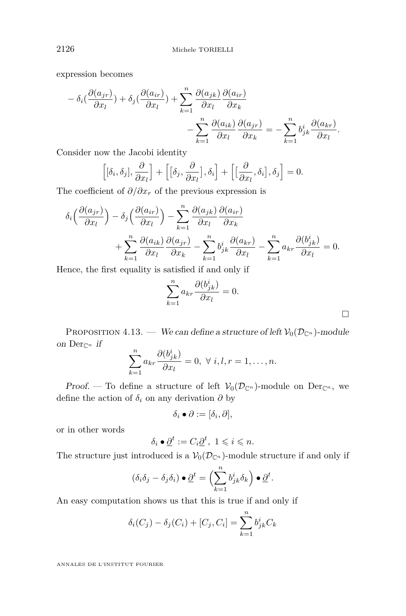<span id="page-30-0"></span>expression becomes

$$
- \delta_i(\frac{\partial (a_{jr})}{\partial x_l}) + \delta_j(\frac{\partial (a_{ir})}{\partial x_l}) + \sum_{k=1}^n \frac{\partial (a_{jk})}{\partial x_l} \frac{\partial (a_{ir})}{\partial x_k} - \sum_{k=1}^n \frac{\partial (a_{ik})}{\partial x_l} \frac{\partial (a_{jr})}{\partial x_k} = - \sum_{k=1}^n b_{jk}^i \frac{\partial (a_{kr})}{\partial x_l}.
$$

Consider now the Jacobi identity

$$
\left[\left[\delta_i,\delta_j\right],\frac{\partial}{\partial x_l}\right] + \left[\left[\delta_j,\frac{\partial}{\partial x_l}\right],\delta_i\right] + \left[\left[\frac{\partial}{\partial x_l},\delta_i\right],\delta_j\right] = 0.
$$

The coefficient of *∂/∂x<sup>r</sup>* of the previous expression is

$$
\delta_i \left( \frac{\partial (a_{jr})}{\partial x_l} \right) - \delta_j \left( \frac{\partial (a_{ir})}{\partial x_l} \right) - \sum_{k=1}^n \frac{\partial (a_{jk})}{\partial x_l} \frac{\partial (a_{ir})}{\partial x_k} \n+ \sum_{k=1}^n \frac{\partial (a_{ik})}{\partial x_l} \frac{\partial (a_{jr})}{\partial x_k} - \sum_{k=1}^n b_{jk}^i \frac{\partial (a_{kr})}{\partial x_l} - \sum_{k=1}^n a_{kr} \frac{\partial (b_{jk}^i)}{\partial x_l} = 0.
$$

Hence, the first equality is satisfied if and only if

$$
\sum_{k=1}^{n} a_{kr} \frac{\partial (b_{jk}^{i})}{\partial x_{l}} = 0.
$$

PROPOSITION 4.13. — We can define a structure of left  $\mathcal{V}_0(\mathcal{D}_{\mathbb{C}^n})$ -module on  $Der_{\mathbb{C}^n}$  if

$$
\sum_{k=1}^{n} a_{kr} \frac{\partial (b_{jk}^i)}{\partial x_l} = 0, \ \forall \ i, l, r = 1, \dots, n.
$$

Proof. — To define a structure of left  $\mathcal{V}_0(\mathcal{D}_{\mathbb{C}^n})$ -module on Der<sub>C<sup>*n*</sup></sub>, we define the action of  $\delta_i$  on any derivation  $\partial$  by

$$
\delta_i \bullet \partial := [\delta_i, \partial],
$$

or in other words

$$
\delta_i \bullet \underline{\partial}^t := C_i \underline{\partial}^t, \ 1 \leqslant i \leqslant n.
$$

The structure just introduced is a  $V_0(\mathcal{D}_{\mathbb{C}^n})$ -module structure if and only if

$$
(\delta_i \delta_j - \delta_j \delta_i) \bullet \underline{\partial}^t = \left(\sum_{k=1}^n b_{jk}^i \delta_k\right) \bullet \underline{\partial}^t.
$$

An easy computation shows us that this is true if and only if

$$
\delta_i(C_j) - \delta_j(C_i) + [C_j, C_i] = \sum_{k=1}^n b_{jk}^i C_k
$$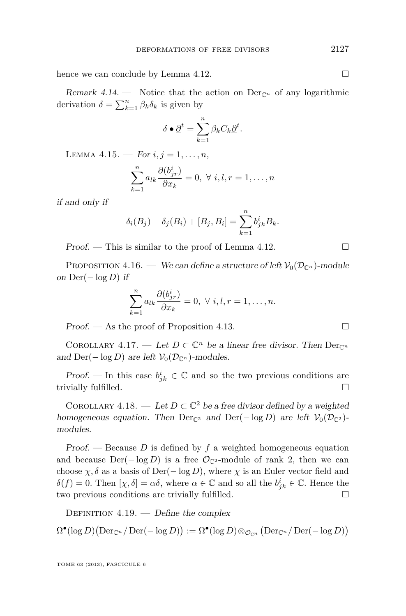<span id="page-31-0"></span>hence we can conclude by Lemma [4.12.](#page-29-0)  $\Box$ 

Remark 4.14. — Notice that the action on  $Der_{\mathbb{C}^n}$  of any logarithmic derivation  $\delta = \sum_{k=1}^{n} \beta_k \delta_k$  is given by

$$
\delta \bullet \underline{\partial}^t = \sum_{k=1}^n \beta_k C_k \underline{\partial}^t.
$$

LEMMA 4.15. — For  $i, j = 1, ..., n$ ,

$$
\sum_{k=1}^{n} a_{lk} \frac{\partial (b_{jr}^i)}{\partial x_k} = 0, \ \forall \ i, l, r = 1, \dots, n
$$

if and only if

$$
\delta_i(B_j) - \delta_j(B_i) + [B_j, B_i] = \sum_{k=1}^n b_{jk}^i B_k.
$$

Proof. — This is similar to the proof of Lemma [4.12.](#page-29-0)

PROPOSITION 4.16. — We can define a structure of left  $\mathcal{V}_0(\mathcal{D}_{\mathbb{C}^n})$ -module on Der(− log *D*) if

$$
\sum_{k=1}^{n} a_{lk} \frac{\partial (b_{jr}^i)}{\partial x_k} = 0, \ \forall \ i, l, r = 1, \dots, n.
$$

Proof. — As the proof of Proposition [4.13.](#page-30-0)

COROLLARY 4.17. — Let  $D \subset \mathbb{C}^n$  be a linear free divisor. Then  $Der_{\mathbb{C}^n}$ and  $\text{Der}(-\log D)$  are left  $\mathcal{V}_0(\mathcal{D}_{\mathbb{C}^n})$ -modules.

Proof. — In this case  $b^i_{jk} \in \mathbb{C}$  and so the two previous conditions are trivially fulfilled.

COROLLARY 4.18. — Let  $D \subset \mathbb{C}^2$  be a free divisor defined by a weighted homogeneous equation. Then Der<sub>C2</sub> and Der(- $\log D$ ) are left  $\mathcal{V}_0(\mathcal{D}_{\mathbb{C}^2})$ modules.

Proof. — Because *D* is defined by *f* a weighted homogeneous equation and because  $Der(-\log D)$  is a free  $\mathcal{O}_{\mathbb{C}^2}$ -module of rank 2, then we can choose  $\chi$ ,  $\delta$  as a basis of Der( $-\log D$ ), where  $\chi$  is an Euler vector field and  $\delta(f) = 0$ . Then  $[\chi, \delta] = \alpha \delta$ , where  $\alpha \in \mathbb{C}$  and so all the  $b^i_{jk} \in \mathbb{C}$ . Hence the two previous conditions are trivially fulfilled.

DEFINITION  $4.19.$  — Define the complex

 $\Omega^{\bullet}(\log D)(\text{Der}_{\mathbb{C}^n}/\text{Der}(-\log D)) := \Omega^{\bullet}(\log D) \otimes_{\mathcal{O}_{\mathbb{C}^n}} (\text{Der}_{\mathbb{C}^n}/\text{Der}(-\log D))$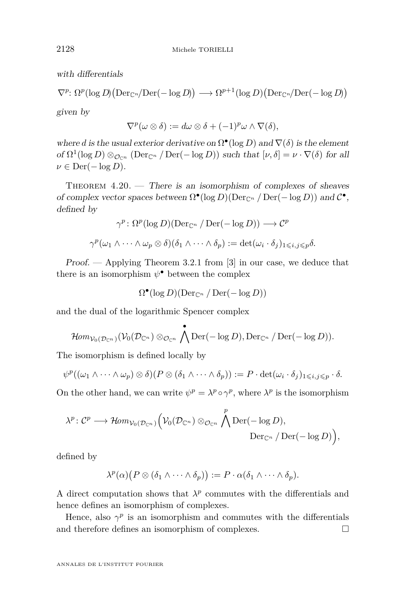<span id="page-32-0"></span>with differentials

$$
\nabla^p: \Omega^p(\log D)(\text{Der}_{\mathbb{C}^n}/\text{Der}(-\log D)) \longrightarrow \Omega^{p+1}(\log D)(\text{Der}_{\mathbb{C}^n}/\text{Der}(-\log D))
$$

given by

$$
\nabla^p(\omega \otimes \delta) := d\omega \otimes \delta + (-1)^p \omega \wedge \nabla(\delta),
$$

where *d* is the usual exterior derivative on  $\Omega^{\bullet}(\log D)$  and  $\nabla(\delta)$  is the element of  $\Omega^1(\log D) \otimes_{\mathcal{O}_{\mathbb{C}^n}} (\text{Der}_{\mathbb{C}^n} / \text{Der}(-\log D))$  such that  $[\nu, \delta] = \nu \cdot \nabla(\delta)$  for all  $\nu \in \text{Der}(-\log D).$ 

THEOREM  $4.20.$  — There is an isomorphism of complexes of sheaves of complex vector spaces between  $\Omega^{\bullet}(\log D)(\text{Der}_{\mathbb{C}^n}/\text{Der}(-\log D))$  and  $\mathcal{C}^{\bullet}$ , defined by

$$
\gamma^{p} \colon \Omega^{p}(\log D)(\text{Der}_{\mathbb{C}^{n}} / \text{Der}(-\log D)) \longrightarrow \mathcal{C}^{p}
$$

$$
\gamma^{p}(\omega_{1} \wedge \cdots \wedge \omega_{p} \otimes \delta)(\delta_{1} \wedge \cdots \wedge \delta_{p}) := \det(\omega_{i} \cdot \delta_{j})_{1 \leq i, j \leq p} \delta.
$$

Proof. — Applying Theorem 3.2.1 from [\[3\]](#page-39-0) in our case, we deduce that there is an isomorphism  $\psi^{\bullet}$  between the complex

$$
\Omega^{\bullet}(\log D)(\mathrm{Der}_{\mathbb{C}^n}/\mathrm{Der}(-\log D))
$$

and the dual of the logarithmic Spencer complex

$$
\text{Hom}_{\mathcal{V}_0(\mathcal{D}_{\mathbb{C}^n})}(\mathcal{V}_0(\mathcal{D}_{\mathbb{C}^n})\otimes_{\mathcal{O}_{\mathbb{C}^n}}\bigwedge^{\bullet}\text{Der}(-\log D),\text{Der}_{\mathbb{C}^n}/\text{Der}(-\log D)).
$$

The isomorphism is defined locally by

$$
\psi^p((\omega_1 \wedge \cdots \wedge \omega_p) \otimes \delta)(P \otimes (\delta_1 \wedge \cdots \wedge \delta_p)) := P \cdot \det(\omega_i \cdot \delta_j)_{1 \leqslant i,j \leqslant p} \cdot \delta.
$$

On the other hand, we can write  $\psi^p = \lambda^p \circ \gamma^p$ , where  $\lambda^p$  is the isomorphism

$$
\lambda^p: C^p \longrightarrow \mathcal{H}om_{\mathcal{V}_0(\mathcal{D}_{\mathbb{C}^n})}\Big(\mathcal{V}_0(\mathcal{D}_{\mathbb{C}^n})\otimes_{\mathcal{O}_{\mathbb{C}^n}}\bigwedge^p\mathrm{Der}(-\log D),
$$
  

$$
\mathrm{Der}_{\mathbb{C}^n}/\mathrm{Der}(-\log D)\Big),
$$

defined by

$$
\lambda^p(\alpha)\big(P\otimes(\delta_1\wedge\cdots\wedge\delta_p)\big):=P\cdot\alpha(\delta_1\wedge\cdots\wedge\delta_p).
$$

A direct computation shows that  $\lambda^p$  commutes with the differentials and hence defines an isomorphism of complexes.

Hence, also  $\gamma^p$  is an isomorphism and commutes with the differentials and therefore defines an isomorphism of complexes.  $\Box$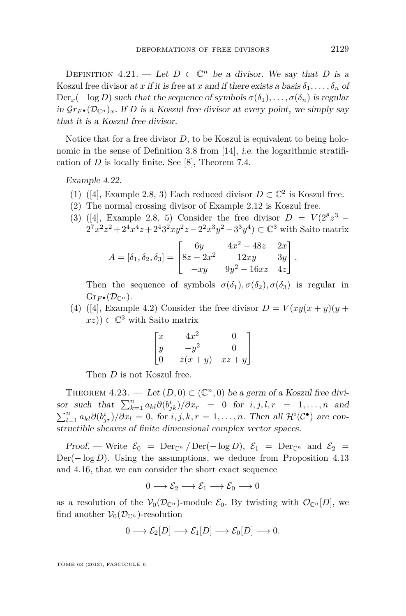<span id="page-33-0"></span>DEFINITION  $4.21$ . — Let  $D \subset \mathbb{C}^n$  be a divisor. We say that *D* is a Koszul free divisor at *x* if it is free at *x* and if there exists a basis  $\delta_1, \ldots, \delta_n$  of  $Der_x(-\log D)$  such that the sequence of symbols  $\sigma(\delta_1), \ldots, \sigma(\delta_n)$  is regular in  $\mathcal{G}r_{F\bullet}(\mathcal{D}_{\mathbb{C}^n})_x$ . If D is a Koszul free divisor at every point, we simply say that it is a Koszul free divisor.

Notice that for a free divisor *D*, to be Koszul is equivalent to being holonomic in the sense of Definition 3.8 from [\[14\]](#page-40-0), i.e. the logarithmic stratification of *D* is locally finite. See [\[8\]](#page-40-0), Theorem 7.4.

Example 4.22.

- (1) ([\[4\]](#page-39-0), Example 2.8, 3) Each reduced divisor  $D \subset \mathbb{C}^2$  is Koszul free.
- (2) The normal crossing divisor of Example [2.12](#page-5-0) is Koszul free.
- (3) ([\[4\]](#page-39-0), Example 2.8, 5) Consider the free divisor  $D = V(2^8z^3 2^7x^2z^2 + 2^4x^4z + 2^43^2xyz^2z - 2^2x^3y^2 - 3^3y^4) \subset \mathbb{C}^3$  with Saito matrix

$$
A = [\delta_1, \delta_2, \delta_3] = \begin{bmatrix} 6y & 4x^2 - 48z & 2x \\ 8z - 2x^2 & 12xy & 3y \\ -xy & 9y^2 - 16xz & 4z \end{bmatrix}.
$$

Then the sequence of symbols  $\sigma(\delta_1), \sigma(\delta_2), \sigma(\delta_3)$  is regular in  $\mathrm{Gr}_{F\bullet}(\mathcal{D}_{\mathbb{C}^n}).$ 

(4) ([\[4\]](#page-39-0), Example 4.2) Consider the free divisor  $D = V(xy(x+y)(y+y))$  $(xz)$ )  $\subset \mathbb{C}^3$  with Saito matrix

$$
\begin{bmatrix} x & 4x^2 & 0 \ y & -y^2 & 0 \ 0 & -z(x+y) & xz+y \end{bmatrix}
$$

Then *D* is not Koszul free.

THEOREM  $4.23.$  — Let  $(D, 0) \subset (\mathbb{C}^n, 0)$  be a germ of a Koszul free divisor such that  $\sum_{k=1}^{n} a_{kl} \partial (b_{jk}^i)/\partial x_r = 0$  for  $i, j, l, r = 1, \ldots, n$  and  $\sum_{l=1}^n a_{kl}\partial(b_{jr}^i)/\partial x_l = 0$ , for  $i, j, k, r = 1, \ldots, n$ . Then all  $\mathcal{H}^i(\mathcal{C}^{\bullet})$  are constructible sheaves of finite dimensional complex vector spaces.

Proof. — Write  $\mathcal{E}_0 = \text{Der}_{\mathbb{C}^n}/\text{Der}(-\log D)$ ,  $\mathcal{E}_1 = \text{Der}_{\mathbb{C}^n}$  and  $\mathcal{E}_2 =$ Der(−log *D*). Using the assumptions, we deduce from Proposition [4.13](#page-30-0) and [4.16,](#page-31-0) that we can consider the short exact sequence

$$
0\longrightarrow \mathcal{E}_2\longrightarrow \mathcal{E}_1\longrightarrow \mathcal{E}_0\longrightarrow 0
$$

as a resolution of the  $V_0(\mathcal{D}_{\mathbb{C}^n})$ -module  $\mathcal{E}_0$ . By twisting with  $\mathcal{O}_{\mathbb{C}^n}[D]$ , we find another  $V_0(\mathcal{D}_{\mathbb{C}^n})$ -resolution

$$
0 \longrightarrow \mathcal{E}_2[D] \longrightarrow \mathcal{E}_1[D] \longrightarrow \mathcal{E}_0[D] \longrightarrow 0.
$$

TOME 63 (2013), FASCICULE 6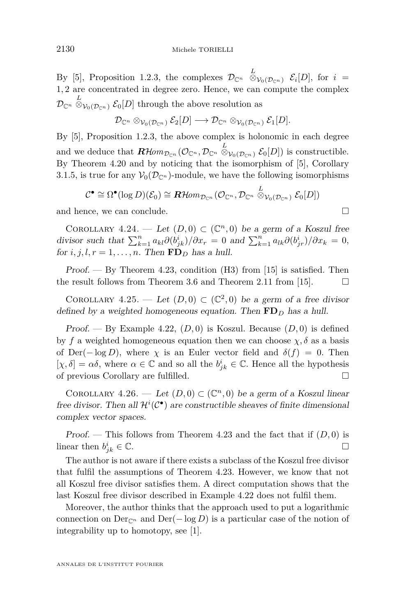By [\[5\]](#page-39-0), Proposition 1.2.3, the complexes  $\mathcal{D}_{\mathbb{C}^n}$   $\stackrel{L}{\otimes}_{\mathcal{V}_0(\mathcal{D}_{\mathbb{C}^n})}$   $\mathcal{E}_i[D]$ , for  $i =$ 1*,* 2 are concentrated in degree zero. Hence, we can compute the complex  $\mathcal{D}_{\mathbb{C}^n} \overset{L}{\otimes}_{\mathcal{V}_0(\mathcal{D}_{\mathbb{C}^n})} \mathcal{E}_0[D]$  through the above resolution as

$$
\mathcal{D}_{\mathbb{C}^n} \otimes_{\mathcal{V}_0(\mathcal{D}_{\mathbb{C}^n})} \mathcal{E}_2[D] \longrightarrow \mathcal{D}_{\mathbb{C}^n} \otimes_{\mathcal{V}_0(\mathcal{D}_{\mathbb{C}^n})} \mathcal{E}_1[D].
$$

By [\[5\]](#page-39-0), Proposition 1.2.3, the above complex is holonomic in each degree and we deduce that  $\mathbf{R}\mathcal{H}\text{om}_{\mathcal{D}\mathbb{C}^n}(\mathcal{O}_{\mathbb{C}^n}, \mathcal{D}_{\mathbb{C}^n} \overset{L}{\otimes}_{\mathcal{V}_0(\mathcal{D}_{\mathbb{C}^n})} \mathcal{E}_0[D])$  is constructible. By Theorem [4.20](#page-32-0) and by noticing that the isomorphism of [\[5\]](#page-39-0), Corollary 3.1.5, is true for any  $V_0(\mathcal{D}_{\mathbb{C}^n})$ -module, we have the following isomorphisms

$$
\mathcal{C}^{\bullet} \cong \Omega^{\bullet}(\log D)(\mathcal{E}_{0}) \cong \mathbf{R}\mathcal{H}om_{\mathcal{D}_{\mathbb{C}^{n}}}(\mathcal{O}_{\mathbb{C}^{n}}, \mathcal{D}_{\mathbb{C}^{n}} \overset{L}{\otimes}_{\mathcal{V}_{0}(\mathcal{D}_{\mathbb{C}^{n}})} \mathcal{E}_{0}[D])
$$

and hence, we can conclude.

COROLLARY 4.24. — Let  $(D,0) \subset (\mathbb{C}^n,0)$  be a germ of a Koszul free divisor such that  $\sum_{k=1}^{n} a_{kl} \partial(b_{jk}^i)/\partial x_r = 0$  and  $\sum_{k=1}^{n} a_{lk} \partial(b_{jr}^i)/\partial x_k = 0$ , for *i*, *j*, *l*,  $r = 1, \ldots, n$ . Then  $\mathbf{FD}_D$  has a hull.

Proof.  $-$  By Theorem [4.23,](#page-33-0) condition (H3) from [\[15\]](#page-40-0) is satisfied. Then the result follows from Theorem [3.6](#page-8-0) and Theorem 2.11 from [\[15\]](#page-40-0).  $\Box$ 

COROLLARY 4.25. — Let  $(D,0) \subset (\mathbb{C}^2,0)$  be a germ of a free divisor defined by a weighted homogeneous equation. Then **FD***<sup>D</sup>* has a hull.

Proof. — By Example [4.22,](#page-33-0)  $(D, 0)$  is Koszul. Because  $(D, 0)$  is defined by *f* a weighted homogeneous equation then we can choose  $\chi$ ,  $\delta$  as a basis of Der( $-\log D$ ), where  $\chi$  is an Euler vector field and  $\delta(f) = 0$ . Then  $[\chi, \delta] = \alpha \delta$ , where  $\alpha \in \mathbb{C}$  and so all the  $b^i_{jk} \in \mathbb{C}$ . Hence all the hypothesis of previous Corollary are fulfilled.

COROLLARY 4.26. — Let  $(D,0) \subset (\mathbb{C}^n,0)$  be a germ of a Koszul linear free divisor. Then all  $\mathcal{H}^i(\mathcal{C}^{\bullet})$  are constructible sheaves of finite dimensional complex vector spaces.

Proof. — This follows from Theorem [4.23](#page-33-0) and the fact that if  $(D, 0)$  is linear then *b i*  $i_{jk} \in \mathbb{C}$ .

The author is not aware if there exists a subclass of the Koszul free divisor that fulfil the assumptions of Theorem [4.23.](#page-33-0) However, we know that not all Koszul free divisor satisfies them. A direct computation shows that the last Koszul free divisor described in Example [4.22](#page-33-0) does not fulfil them.

Moreover, the author thinks that the approach used to put a logarithmic connection on  $Der_{\mathbb{C}^n}$  and  $Der(-\log D)$  is a particular case of the notion of integrability up to homotopy, see [\[1\]](#page-39-0).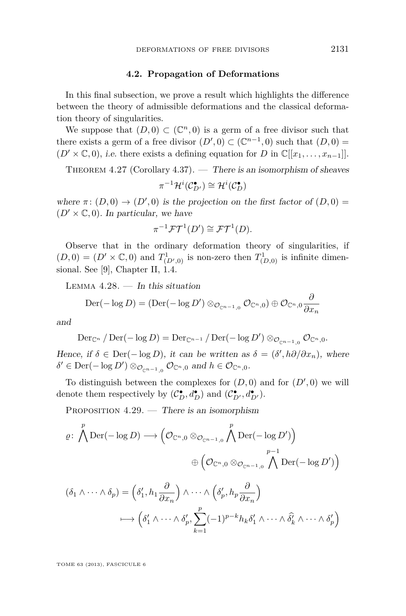#### **4.2. Propagation of Deformations**

<span id="page-35-0"></span>In this final subsection, we prove a result which highlights the difference between the theory of admissible deformations and the classical deformation theory of singularities.

We suppose that  $(D,0) \subset (\mathbb{C}^n,0)$  is a germ of a free divisor such that there exists a germ of a free divisor  $(D', 0) \subset (\mathbb{C}^{n-1}, 0)$  such that  $(D, 0) =$  $(D' \times \mathbb{C}, 0)$ , *i.e.* there exists a defining equation for *D* in  $\mathbb{C}[[x_1, \ldots, x_{n-1}]]$ .

THEOREM 4.27 (Corollary [4.37\)](#page-39-0). — There is an isomorphism of sheaves

$$
\pi^{-1}\mathcal{H}^i(\mathcal{C}_{D'}^{\bullet}) \cong \mathcal{H}^i(\mathcal{C}_D^{\bullet})
$$

where  $\pi$ :  $(D,0) \rightarrow (D',0)$  is the projection on the first factor of  $(D,0)$  =  $(D' \times \mathbb{C}, 0)$ . In particular, we have

$$
\pi^{-1}\mathcal{FT}^1(D') \cong \mathcal{FT}^1(D).
$$

Observe that in the ordinary deformation theory of singularities, if  $(D,0) = (D' \times \mathbb{C},0)$  and  $T^1_{(D',0)}$  is non-zero then  $T^1_{(D,0)}$  is infinite dimensional. See [\[9\]](#page-40-0), Chapter II, 1.4.

LEMMA  $4.28.$  – In this situation

$$
\mathrm{Der}(-\log D) = (\mathrm{Der}(-\log D') \otimes_{\mathcal{O}_{\mathbb{C}^{n-1},0}} \mathcal{O}_{\mathbb{C}^n,0}) \oplus \mathcal{O}_{\mathbb{C}^n,0} \frac{\partial}{\partial x_n}
$$

and

$$
\mathrm{Der}_{\mathbb{C}^n} / \mathrm{Der}(-\log D) = \mathrm{Der}_{\mathbb{C}^{n-1}} / \mathrm{Der}(-\log D') \otimes_{\mathcal{O}_{\mathbb{C}^{n-1},0}} \mathcal{O}_{\mathbb{C}^n,0}.
$$

Hence, if  $\delta \in \text{Der}(-\log D)$ , it can be written as  $\delta = (\delta', h\partial/\partial x_n)$ , where  $\delta' \in \text{Der}(-\log D') \otimes_{\mathcal{O}_{\mathbb{C}^{n-1},0}} \mathcal{O}_{\mathbb{C}^n,0} \text{ and } h \in \mathcal{O}_{\mathbb{C}^n,0}.$ 

To distinguish between the complexes for  $(D, 0)$  and for  $(D', 0)$  we will denote them respectively by  $(C_D^{\bullet}, d_D^{\bullet})$  and  $(C_{D'}^{\bullet}, d_{D'}^{\bullet})$ .

PROPOSITION  $4.29$ . — There is an isomorphism

$$
\varrho: \bigwedge^p \text{Der}(-\log D) \longrightarrow \left(\mathcal{O}_{\mathbb{C}^n,0} \otimes_{\mathcal{O}_{\mathbb{C}^{n-1},0}} \bigwedge^p \text{Der}(-\log D')\right)
$$

$$
\oplus \left(\mathcal{O}_{\mathbb{C}^n,0} \otimes_{\mathcal{O}_{\mathbb{C}^{n-1},0}} \bigwedge^{p-1} \text{Der}(-\log D')\right)
$$

$$
(\delta_1 \wedge \dots \wedge \delta_-) = \left(\delta' \circ h_1 \xrightarrow{\partial} \alpha_1 \wedge \dots \wedge \left(\delta' \circ h_n \xrightarrow{\partial} \alpha_n\right)
$$

$$
(\delta_1 \wedge \cdots \wedge \delta_p) = \left(\delta'_1, h_1 \frac{\partial}{\partial x_n}\right) \wedge \cdots \wedge \left(\delta'_p, h_p \frac{\partial}{\partial x_n}\right)
$$

$$
\longmapsto \left(\delta'_1 \wedge \cdots \wedge \delta'_p, \sum_{k=1}^p (-1)^{p-k} h_k \delta'_1 \wedge \cdots \wedge \widehat{\delta}'_k \wedge \cdots \wedge \delta'_p\right)
$$

TOME 63 (2013), FASCICULE 6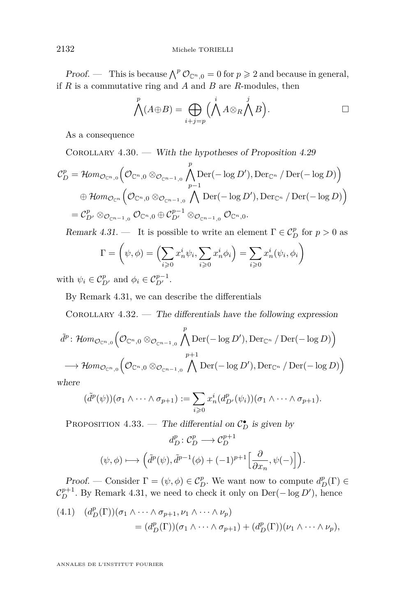<span id="page-36-0"></span>Proof. — This is because  $\bigwedge^p \mathcal{O}_{\mathbb{C}^n,0} = 0$  for  $p \geqslant 2$  and because in general, if *R* is a commutative ring and *A* and *B* are *R*-modules, then

$$
\bigwedge^p (A \oplus B) = \bigoplus_{i+j=p} \Bigl(\bigwedge^i A \otimes_R \bigwedge^j B\Bigr).
$$

As a consequence

COROLLARY  $4.30.$  — With the hypotheses of Proposition [4.29](#page-35-0)

$$
\mathcal{C}_D^p = \mathcal{H}om_{\mathcal{O}_{\mathbb{C}^n,0}}\left(\mathcal{O}_{\mathbb{C}^n,0}\otimes_{\mathcal{O}_{\mathbb{C}^{n-1},0}}\bigwedge_{p-1}^p\mathrm{Der}(-\log D'),\mathrm{Der}_{\mathbb{C}^n}/\mathrm{Der}(-\log D)\right)
$$
  
\n
$$
\oplus \mathcal{H}om_{\mathcal{O}_{\mathbb{C}^n}}\left(\mathcal{O}_{\mathbb{C}^n,0}\otimes_{\mathcal{O}_{\mathbb{C}^{n-1},0}}\bigwedge_{p-1}^{p-1}\mathrm{Der}(-\log D'),\mathrm{Der}_{\mathbb{C}^n}/\mathrm{Der}(-\log D)\right)
$$
  
\n
$$
= \mathcal{C}_{D'}^p\otimes_{\mathcal{O}_{\mathbb{C}^{n-1},0}}\mathcal{O}_{\mathbb{C}^n,0}\oplus\mathcal{C}_{D'}^{p-1}\otimes_{\mathcal{O}_{\mathbb{C}^{n-1},0}}\mathcal{O}_{\mathbb{C}^n,0}.
$$

Remark 4.31. — It is possible to write an element  $\Gamma \in C_D^p$  for  $p > 0$  as

$$
\Gamma = \left(\psi, \phi\right) = \left(\sum_{i \geq 0} x_n^i \psi_i, \sum_{i \geq 0} x_n^i \phi_i\right) = \sum_{i \geq 0} x_n^i (\psi_i, \phi_i)
$$

with  $\psi_i \in C^p_{D'}$  and  $\phi_i \in C^{p-1}_{D'}$ .

By Remark 4.31, we can describe the differentials

COROLLARY  $4.32.$  — The differentials have the following expression

$$
\tilde{d}^p \colon \mathcal{H}om_{\mathcal{O}_{\mathbb{C}^n,0}}\left(\mathcal{O}_{\mathbb{C}^n,0}\otimes_{\mathcal{O}_{\mathbb{C}^{n-1},0}}\bigwedge^p\mathrm{Der}(-\log D'),\mathrm{Der}_{\mathbb{C}^n}/\mathrm{Der}(-\log D)\right) \n\longrightarrow \mathcal{H}om_{\mathcal{O}_{\mathbb{C}^n,0}}\left(\mathcal{O}_{\mathbb{C}^n,0}\otimes_{\mathcal{O}_{\mathbb{C}^{n-1},0}}\bigwedge^{p+1}\mathrm{Der}(-\log D'),\mathrm{Der}_{\mathbb{C}^n}/\mathrm{Der}(-\log D)\right)
$$

where

$$
(\tilde{d}^p(\psi))(\sigma_1 \wedge \cdots \wedge \sigma_{p+1}) := \sum_{i \geq 0} x_n^i (d_{D'}^p(\psi_i))(\sigma_1 \wedge \cdots \wedge \sigma_{p+1}).
$$

PROPOSITION 4.33. — The differential on  $C_D^{\bullet}$  is given by

$$
d_{D}^{p}: \mathcal{C}_{D}^{p} \longrightarrow \mathcal{C}_{D}^{p+1}
$$

$$
(\psi, \phi) \longmapsto \left( \tilde{d}^{p}(\psi), \tilde{d}^{p-1}(\phi) + (-1)^{p+1} \left[ \frac{\partial}{\partial x_{n}}, \psi(-) \right] \right).
$$

Proof. — Consider  $\Gamma = (\psi, \phi) \in C_D^p$ . We want now to compute  $d_D^p(\Gamma) \in$  $C_D^{p+1}$ . By Remark 4.31, we need to check it only on Der( $-\log D'$ ), hence

(4.1) 
$$
(d_D^p(\Gamma))(\sigma_1 \wedge \cdots \wedge \sigma_{p+1}, \nu_1 \wedge \cdots \wedge \nu_p)
$$
  
= 
$$
(d_D^p(\Gamma))(\sigma_1 \wedge \cdots \wedge \sigma_{p+1}) + (d_D^p(\Gamma))(\nu_1 \wedge \cdots \wedge \nu_p),
$$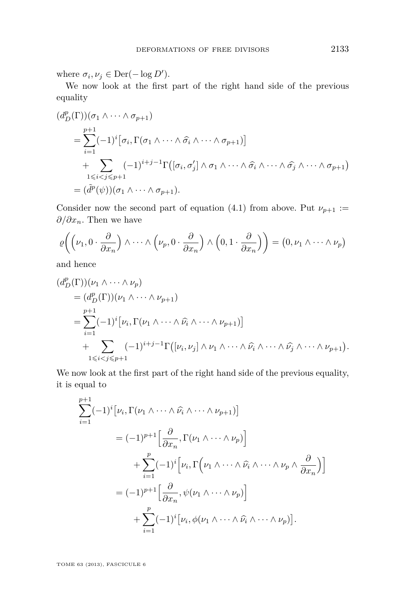where  $\sigma_i, \nu_j \in \text{Der}(-\log D')$ .

We now look at the first part of the right hand side of the previous equality

$$
(d_D^p(\Gamma))(\sigma_1 \wedge \cdots \wedge \sigma_{p+1})
$$
  
= 
$$
\sum_{i=1}^{p+1} (-1)^i [\sigma_i, \Gamma(\sigma_1 \wedge \cdots \wedge \widehat{\sigma_i} \wedge \cdots \wedge \sigma_{p+1})]
$$
  
+ 
$$
\sum_{1 \leq i < j \leq p+1} (-1)^{i+j-1} \Gamma([\sigma_i, \sigma'_j] \wedge \sigma_1 \wedge \cdots \wedge \widehat{\sigma_i} \wedge \cdots \wedge \widehat{\sigma_j} \wedge \cdots \wedge \sigma_{p+1})
$$
  
= 
$$
(\widetilde{d}^p(\psi))(\sigma_1 \wedge \cdots \wedge \sigma_{p+1}).
$$

Consider now the second part of equation [\(4.1\)](#page-36-0) from above. Put  $\nu_{p+1}$  := *∂/∂xn*. Then we have

$$
\varrho\bigg(\Big(\nu_1, 0 \cdot \frac{\partial}{\partial x_n}\Big) \wedge \cdots \wedge \Big(\nu_p, 0 \cdot \frac{\partial}{\partial x_n}\Big) \wedge \Big(0, 1 \cdot \frac{\partial}{\partial x_n}\Big)\bigg) = \Big(0, \nu_1 \wedge \cdots \wedge \nu_p\Big)
$$

and hence

$$
(d_D^p(\Gamma))(v_1 \wedge \cdots \wedge v_p)
$$
  
=  $(d_D^p(\Gamma))(v_1 \wedge \cdots \wedge v_{p+1})$   
=  $\sum_{i=1}^{p+1} (-1)^i \big[ v_i, \Gamma(v_1 \wedge \cdots \wedge \widehat{v_i} \wedge \cdots \wedge v_{p+1}) \big]$   
+  $\sum_{1 \leq i < j \leq p+1} (-1)^{i+j-1} \Gamma([v_i, v_j] \wedge v_1 \wedge \cdots \wedge \widehat{v_i} \wedge \cdots \wedge \widehat{v_j} \wedge \cdots \wedge v_{p+1}).$ 

We now look at the first part of the right hand side of the previous equality, it is equal to

$$
\sum_{i=1}^{p+1} (-1)^{i} \left[ \nu_{i}, \Gamma(\nu_{1} \wedge \cdots \wedge \widehat{\nu_{i}} \wedge \cdots \wedge \nu_{p+1}) \right]
$$
\n
$$
= (-1)^{p+1} \left[ \frac{\partial}{\partial x_{n}}, \Gamma(\nu_{1} \wedge \cdots \wedge \nu_{p}) \right]
$$
\n
$$
+ \sum_{i=1}^{p} (-1)^{i} \left[ \nu_{i}, \Gamma(\nu_{1} \wedge \cdots \wedge \widehat{\nu_{i}} \wedge \cdots \wedge \nu_{p} \wedge \frac{\partial}{\partial x_{n}}) \right]
$$
\n
$$
= (-1)^{p+1} \left[ \frac{\partial}{\partial x_{n}}, \psi(\nu_{1} \wedge \cdots \wedge \nu_{p}) \right]
$$
\n
$$
+ \sum_{i=1}^{p} (-1)^{i} \left[ \nu_{i}, \phi(\nu_{1} \wedge \cdots \wedge \widehat{\nu_{i}} \wedge \cdots \wedge \nu_{p}) \right].
$$

TOME 63 (2013), FASCICULE 6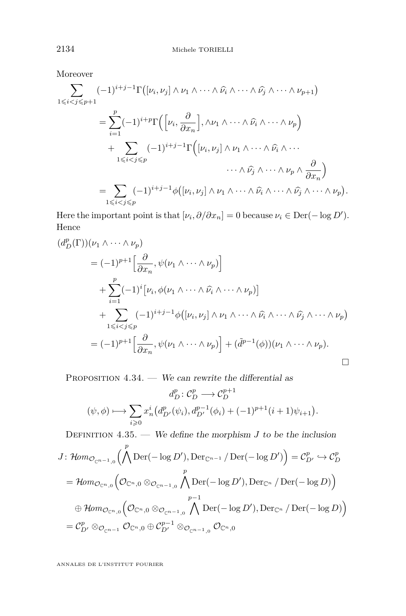Moreover

$$
\sum_{1 \leq i < j \leq p+1} (-1)^{i+j-1} \Gamma\big( [\nu_i, \nu_j] \wedge \nu_1 \wedge \cdots \wedge \widehat{\nu_i} \wedge \cdots \wedge \widehat{\nu_j} \wedge \cdots \wedge \nu_{p+1} \big)
$$
\n
$$
= \sum_{i=1}^p (-1)^{i+p} \Gamma\Big( [\nu_i, \frac{\partial}{\partial x_n}], \wedge \nu_1 \wedge \cdots \wedge \widehat{\nu_i} \wedge \cdots \wedge \nu_p \Big)
$$
\n
$$
+ \sum_{1 \leq i < j \leq p} (-1)^{i+j-1} \Gamma\Big( [\nu_i, \nu_j] \wedge \nu_1 \wedge \cdots \wedge \widehat{\nu_i} \wedge \cdots \wedge \nu_p \wedge \frac{\partial}{\partial x_n} \Big)
$$
\n
$$
= \sum_{1 \leq i < j \leq p} (-1)^{i+j-1} \phi \big( [\nu_i, \nu_j] \wedge \nu_1 \wedge \cdots \wedge \widehat{\nu_i} \wedge \cdots \wedge \widehat{\nu_j} \wedge \cdots \wedge \nu_p \big).
$$

Here the important point is that  $[\nu_i, \partial/\partial x_n] = 0$  because  $\nu_i \in \text{Der}(-\log D')$ . Hence

$$
(d_D^p(\Gamma))(v_1 \wedge \cdots \wedge \nu_p)
$$
  
=  $(-1)^{p+1} \Big[ \frac{\partial}{\partial x_n}, \psi(\nu_1 \wedge \cdots \wedge \nu_p) \Big]$   
+  $\sum_{i=1}^p (-1)^i [\nu_i, \phi(\nu_1 \wedge \cdots \wedge \widehat{\nu_i} \wedge \cdots \wedge \nu_p)]$   
+  $\sum_{1 \leq i < j \leq p} (-1)^{i+j-1} \phi([\nu_i, \nu_j] \wedge \nu_1 \wedge \cdots \wedge \widehat{\nu_i} \wedge \cdots \wedge \widehat{\nu_j} \wedge \cdots \wedge \nu_p)$   
=  $(-1)^{p+1} \Big[ \frac{\partial}{\partial x_n}, \psi(\nu_1 \wedge \cdots \wedge \nu_p) \Big] + (\widetilde{d}^{p-1}(\phi))(\nu_1 \wedge \cdots \wedge \nu_p).$ 

PROPOSITION  $4.34.$  — We can rewrite the differential as

$$
d_{D}^{p}: \mathcal{C}_{D}^{p} \longrightarrow \mathcal{C}_{D}^{p+1}
$$

$$
(\psi, \phi) \longmapsto \sum_{i \geqslant 0} x_{n}^{i} (d_{D'}^{p}(\psi_{i}), d_{D'}^{p-1}(\phi_{i}) + (-1)^{p+1} (i+1)\psi_{i+1}).
$$

DEFINITION  $4.35.$  — We define the morphism *J* to be the inclusion

$$
J: \mathcal{H}om_{\mathcal{O}_{\mathbb{C}^{n-1},0}}\left(\bigwedge^{p} \text{Der}(-\log D'), \text{Der}_{\mathbb{C}^{n-1}}/\text{Der}(-\log D')\right) = \mathcal{C}_{D'}^{p} \hookrightarrow \mathcal{C}_{D}^{p}
$$

$$
= \mathcal{H}om_{\mathcal{O}_{\mathbb{C}^{n},0}}\left(\mathcal{O}_{\mathbb{C}^{n},0}\otimes_{\mathcal{O}_{\mathbb{C}^{n-1},0}}\bigwedge^{p} \text{Der}(-\log D'), \text{Der}_{\mathbb{C}^{n}}/\text{Der}(-\log D)\right)
$$

$$
\oplus \mathcal{H}om_{\mathcal{O}_{\mathbb{C}^{n},0}}\left(\mathcal{O}_{\mathbb{C}^{n},0}\otimes_{\mathcal{O}_{\mathbb{C}^{n-1},0}}\bigwedge^{p-1} \text{Der}(-\log D'), \text{Der}_{\mathbb{C}^{n}}/\text{Der}(-\log D)\right)
$$

$$
= \mathcal{C}_{D'}^{p} \otimes_{\mathcal{O}_{\mathbb{C}^{n-1}}}\mathcal{O}_{\mathbb{C}^{n},0}\oplus \mathcal{C}_{D'}^{p-1}\otimes_{\mathcal{O}_{\mathbb{C}^{n-1},0}}\mathcal{O}_{\mathbb{C}^{n},0}
$$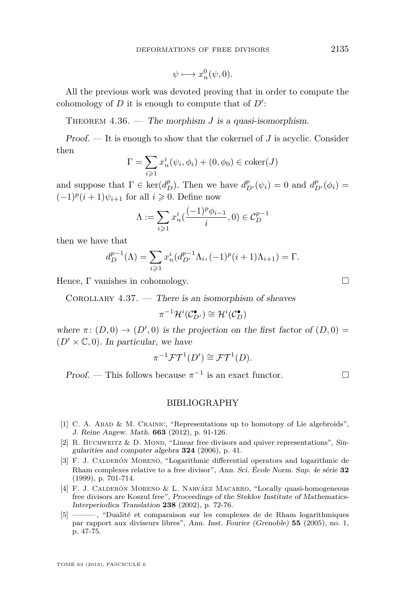$$
\psi \longmapsto x_n^0(\psi, 0).
$$

<span id="page-39-0"></span>All the previous work was devoted proving that in order to compute the cohomology of  $D$  it is enough to compute that of  $D'$ :

THEOREM  $4.36.$  — The morphism *J* is a quasi-isomorphism.

Proof. — It is enough to show that the cokernel of *J* is acyclic. Consider then

$$
\Gamma = \sum_{i \geq 1} x_n^i(\psi_i, \phi_i) + (0, \phi_0) \in \text{coker}(J)
$$

and suppose that  $\Gamma \in \text{ker}(d_D^p)$ . Then we have  $d_{D'}^p(\psi_i) = 0$  and  $d_{D'}^p(\phi_i) = 0$  $(-1)^p(i+1)\psi_{i+1}$  for all *i* ≥ 0. Define now

$$
\Lambda:=\sum_{i\geqslant 1}x_n^i(\frac{(-1)^p\phi_{i-1}}i,0)\in\mathcal{C}_D^{p-1}
$$

then we have that

$$
d_{D}^{p-1}(\Lambda) = \sum_{i \geq 1} x_n^i (d_{D'}^{p-1} \Lambda_i, (-1)^p (i+1) \Lambda_{i+1}) = \Gamma.
$$

Hence, Γ vanishes in cohomology.

COROLLARY  $4.37.$  — There is an isomorphism of sheaves

$$
\pi^{-1}\mathcal{H}^i(\mathcal{C}_{D'}^{\bullet}) \cong \mathcal{H}^i(\mathcal{C}_D^{\bullet})
$$

where  $\pi$ :  $(D,0) \rightarrow (D',0)$  is the projection on the first factor of  $(D,0)$  =  $(D' \times \mathbb{C}, 0)$ . In particular, we have

$$
\pi^{-1}\mathcal{FT}^1(D') \cong \mathcal{FT}^1(D).
$$

Proof. — This follows because  $\pi^{-1}$  is an exact functor.  $\Box$ 

#### BIBLIOGRAPHY

- [1] C. A. ABAD & M. CRAINIC, "Representations up to homotopy of Lie algebroids", J. Reine Angew. Math. **663** (2012), p. 91-126.
- [2] R. BUCHWEITZ  $&$  D. MOND, "Linear free divisors and quiver representations", Singularities and computer algebra **324** (2006), p. 41.
- [3] F. J. Calderón Moreno, "Logarithmic differential operators and logarithmic de Rham complexes relative to a free divisor", Ann. Sci. École Norm. Sup. 4e série **32** (1999), p. 701-714.
- [4] F. J. Calderón Moreno & L. Narváez Macarro, "Locally quasi-homogeneous free divisors are Koszul free", Proceedings of the Steklov Institute of Mathematics-Interperiodica Translation **238** (2002), p. 72-76.
- [5] ——— , "Dualité et comparaison sur les complexes de de Rham logarithmiques par rapport aux diviseurs libres", Ann. Inst. Fourier (Grenoble) **55** (2005), no. 1, p. 47-75.